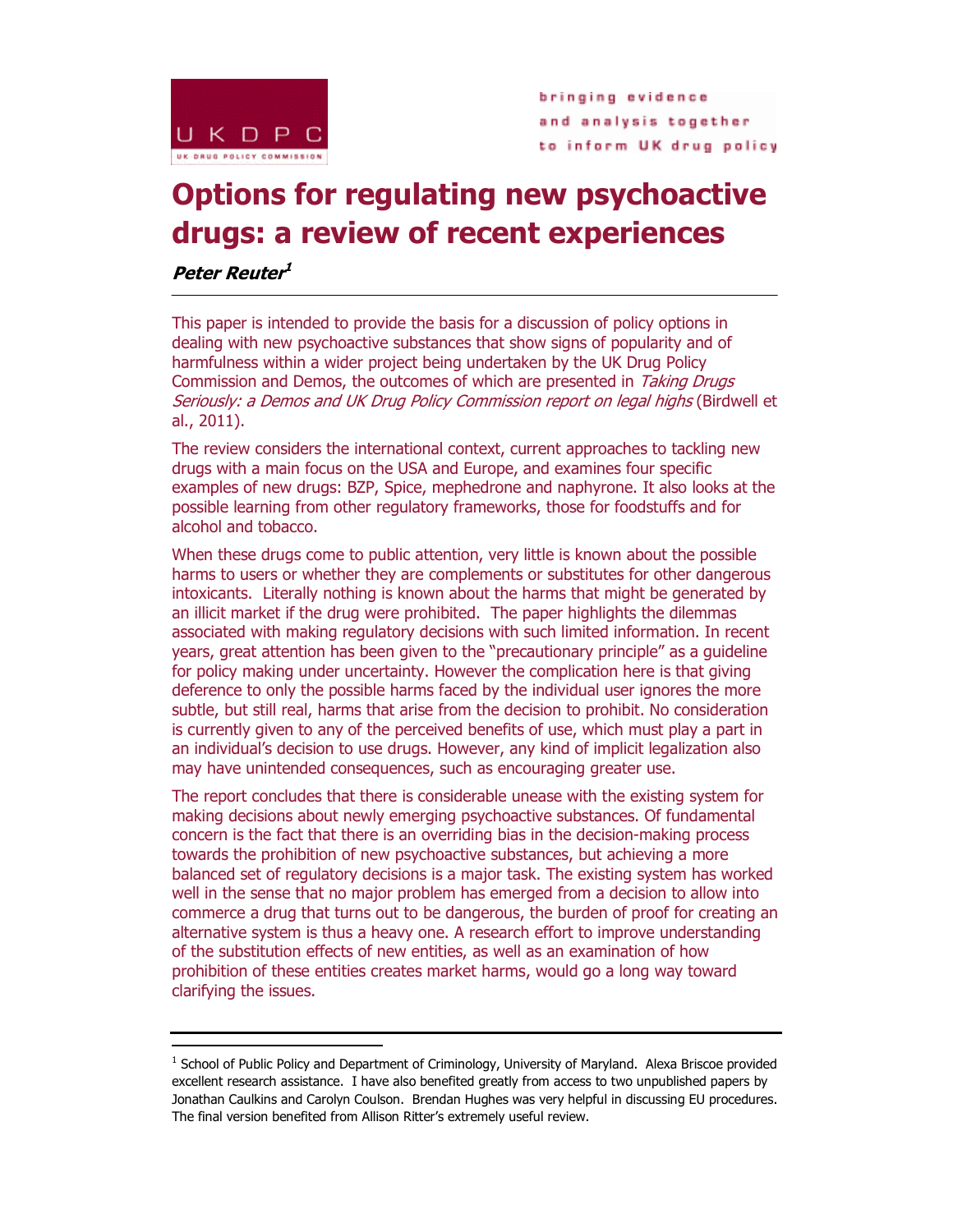

bringing evidence and analysis together to inform UK drug policy

# **Options for regulating new psychoactive drugs: a review of recent experiences**

**Peter Reuter 1**

-

This paper is intended to provide the basis for a discussion of policy options in dealing with new psychoactive substances that show signs of popularity and of harmfulness within a wider project being undertaken by the UK Drug Policy Commission and Demos, the outcomes of which are presented in *Taking Drugs* Seriously: a Demos and UK Drug Policy Commission report on legal highs (Birdwell et al., 2011).

The review considers the international context, current approaches to tackling new drugs with a main focus on the USA and Europe, and examines four specific examples of new drugs: BZP, Spice, mephedrone and naphyrone. It also looks at the possible learning from other regulatory frameworks, those for foodstuffs and for alcohol and tobacco.

When these drugs come to public attention, very little is known about the possible harms to users or whether they are complements or substitutes for other dangerous intoxicants. Literally nothing is known about the harms that might be generated by an illicit market if the drug were prohibited. The paper highlights the dilemmas associated with making regulatory decisions with such limited information. In recent years, great attention has been given to the "precautionary principle" as a guideline for policy making under uncertainty. However the complication here is that giving deference to only the possible harms faced by the individual user ignores the more subtle, but still real, harms that arise from the decision to prohibit. No consideration is currently given to any of the perceived benefits of use, which must play a part in an individual's decision to use drugs. However, any kind of implicit legalization also may have unintended consequences, such as encouraging greater use.

The report concludes that there is considerable unease with the existing system for making decisions about newly emerging psychoactive substances. Of fundamental concern is the fact that there is an overriding bias in the decision-making process towards the prohibition of new psychoactive substances, but achieving a more balanced set of regulatory decisions is a major task. The existing system has worked well in the sense that no major problem has emerged from a decision to allow into commerce a drug that turns out to be dangerous, the burden of proof for creating an alternative system is thus a heavy one. A research effort to improve understanding of the substitution effects of new entities, as well as an examination of how prohibition of these entities creates market harms, would go a long way toward clarifying the issues.

<sup>&</sup>lt;sup>1</sup> School of Public Policy and Department of Criminology, University of Maryland. Alexa Briscoe provided excellent research assistance. I have also benefited greatly from access to two unpublished papers by Jonathan Caulkins and Carolyn Coulson. Brendan Hughes was very helpful in discussing EU procedures. The final version benefited from Allison Ritter's extremely useful review.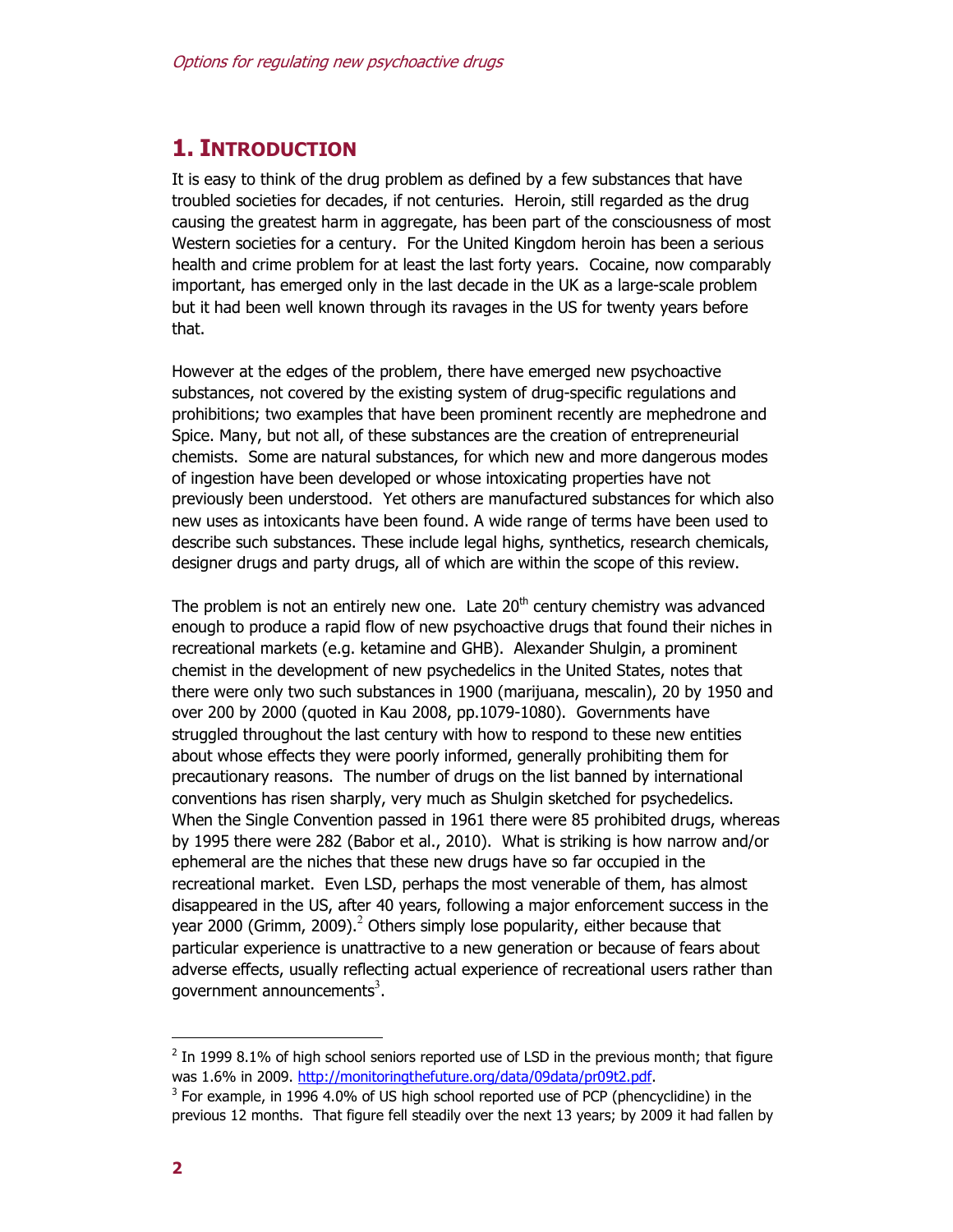# **1. INTRODUCTION**

It is easy to think of the drug problem as defined by a few substances that have troubled societies for decades, if not centuries. Heroin, still regarded as the drug causing the greatest harm in aggregate, has been part of the consciousness of most Western societies for a century. For the United Kingdom heroin has been a serious health and crime problem for at least the last forty years. Cocaine, now comparably important, has emerged only in the last decade in the UK as a large-scale problem but it had been well known through its ravages in the US for twenty years before that.

However at the edges of the problem, there have emerged new psychoactive substances, not covered by the existing system of drug-specific regulations and prohibitions; two examples that have been prominent recently are mephedrone and Spice. Many, but not all, of these substances are the creation of entrepreneurial chemists. Some are natural substances, for which new and more dangerous modes of ingestion have been developed or whose intoxicating properties have not previously been understood. Yet others are manufactured substances for which also new uses as intoxicants have been found. A wide range of terms have been used to describe such substances. These include legal highs, synthetics, research chemicals, designer drugs and party drugs, all of which are within the scope of this review.

The problem is not an entirely new one. Late  $20<sup>th</sup>$  century chemistry was advanced enough to produce a rapid flow of new psychoactive drugs that found their niches in recreational markets (e.g. ketamine and GHB). Alexander Shulgin, a prominent chemist in the development of new psychedelics in the United States, notes that there were only two such substances in 1900 (marijuana, mescalin), 20 by 1950 and over 200 by 2000 (quoted in Kau 2008, pp.1079-1080). Governments have struggled throughout the last century with how to respond to these new entities about whose effects they were poorly informed, generally prohibiting them for precautionary reasons. The number of drugs on the list banned by international conventions has risen sharply, very much as Shulgin sketched for psychedelics. When the Single Convention passed in 1961 there were 85 prohibited drugs, whereas by 1995 there were 282 (Babor et al., 2010). What is striking is how narrow and/or ephemeral are the niches that these new drugs have so far occupied in the recreational market. Even LSD, perhaps the most venerable of them, has almost disappeared in the US, after 40 years, following a major enforcement success in the year 2000 (Grimm, 2009).<sup>2</sup> Others simply lose popularity, either because that particular experience is unattractive to a new generation or because of fears about adverse effects, usually reflecting actual experience of recreational users rather than government announcements<sup>3</sup>.

 $2$  In 1999 8.1% of high school seniors reported use of LSD in the previous month; that figure was 1.6% in 2009. http://monitoringthefuture.org/data/09data/pr09t2.pdf.

 $3$  For example, in 1996 4.0% of US high school reported use of PCP (phencyclidine) in the previous 12 months. That figure fell steadily over the next 13 years; by 2009 it had fallen by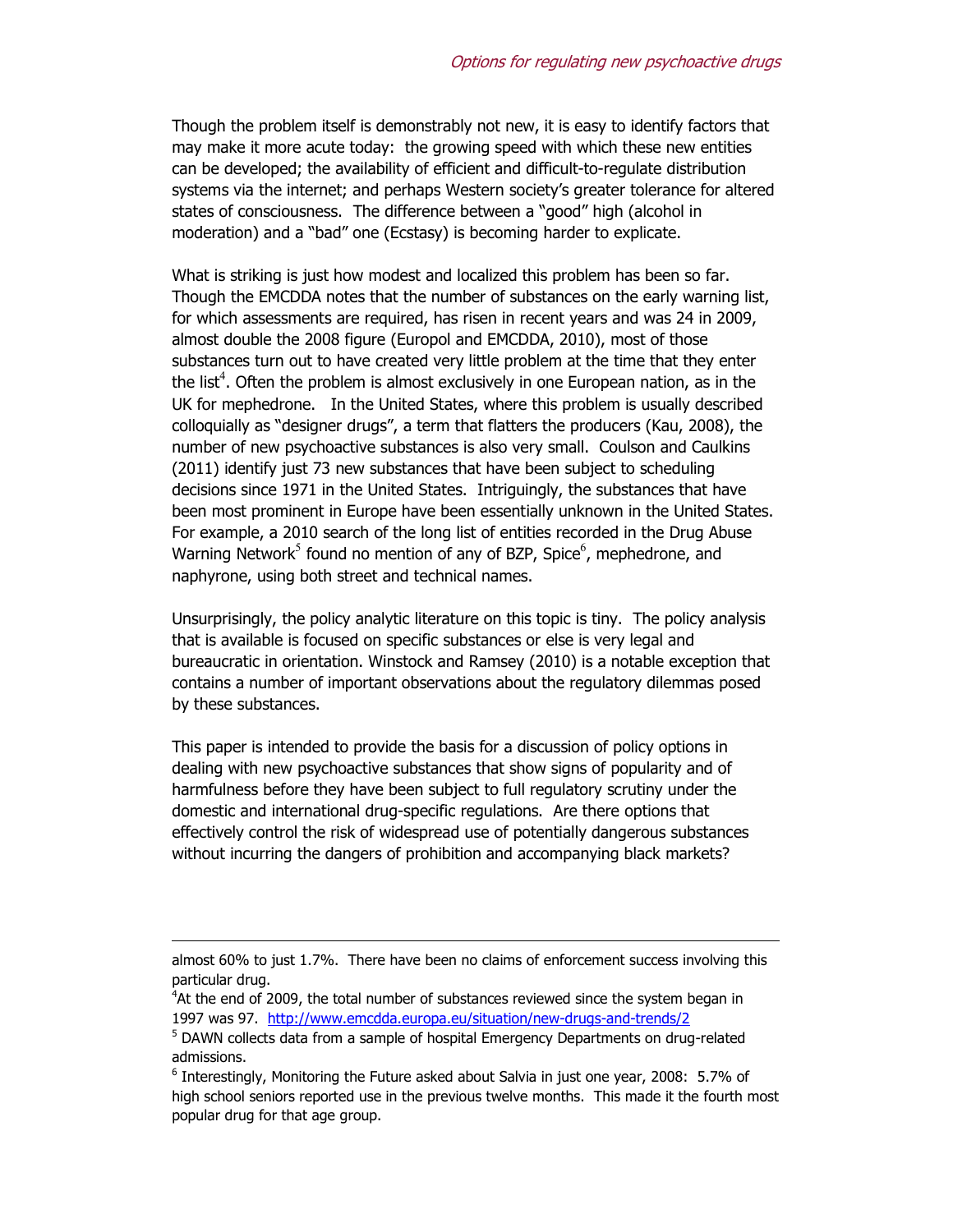Though the problem itself is demonstrably not new, it is easy to identify factors that may make it more acute today: the growing speed with which these new entities can be developed; the availability of efficient and difficult-to-regulate distribution systems via the internet; and perhaps Western society's greater tolerance for altered states of consciousness. The difference between a "good" high (alcohol in moderation) and a "bad" one (Ecstasy) is becoming harder to explicate.

What is striking is just how modest and localized this problem has been so far. Though the EMCDDA notes that the number of substances on the early warning list, for which assessments are required, has risen in recent years and was 24 in 2009, almost double the 2008 figure (Europol and EMCDDA, 2010), most of those substances turn out to have created very little problem at the time that they enter the list<sup>4</sup>. Often the problem is almost exclusively in one European nation, as in the UK for mephedrone. In the United States, where this problem is usually described colloquially as "designer drugs", a term that flatters the producers (Kau, 2008), the number of new psychoactive substances is also very small. Coulson and Caulkins (2011) identify just 73 new substances that have been subject to scheduling decisions since 1971 in the United States. Intriguingly, the substances that have been most prominent in Europe have been essentially unknown in the United States. For example, a 2010 search of the long list of entities recorded in the Drug Abuse Warning Network<sup>5</sup> found no mention of any of BZP, Spice<sup>6</sup>, mephedrone, and naphyrone, using both street and technical names.

Unsurprisingly, the policy analytic literature on this topic is tiny. The policy analysis that is available is focused on specific substances or else is very legal and bureaucratic in orientation. Winstock and Ramsey (2010) is a notable exception that contains a number of important observations about the regulatory dilemmas posed by these substances.

This paper is intended to provide the basis for a discussion of policy options in dealing with new psychoactive substances that show signs of popularity and of harmfulness before they have been subject to full regulatory scrutiny under the domestic and international drug-specific regulations. Are there options that effectively control the risk of widespread use of potentially dangerous substances without incurring the dangers of prohibition and accompanying black markets?

almost 60% to just 1.7%. There have been no claims of enforcement success involving this particular drug.

<sup>&</sup>lt;sup>4</sup>At the end of 2009, the total number of substances reviewed since the system began in 1997 was 97. http://www.emcdda.europa.eu/situation/new-drugs-and-trends/2

<sup>&</sup>lt;sup>5</sup> DAWN collects data from a sample of hospital Emergency Departments on drug-related admissions.

 $<sup>6</sup>$  Interestingly, Monitoring the Future asked about Salvia in just one year, 2008: 5.7% of</sup> high school seniors reported use in the previous twelve months. This made it the fourth most popular drug for that age group.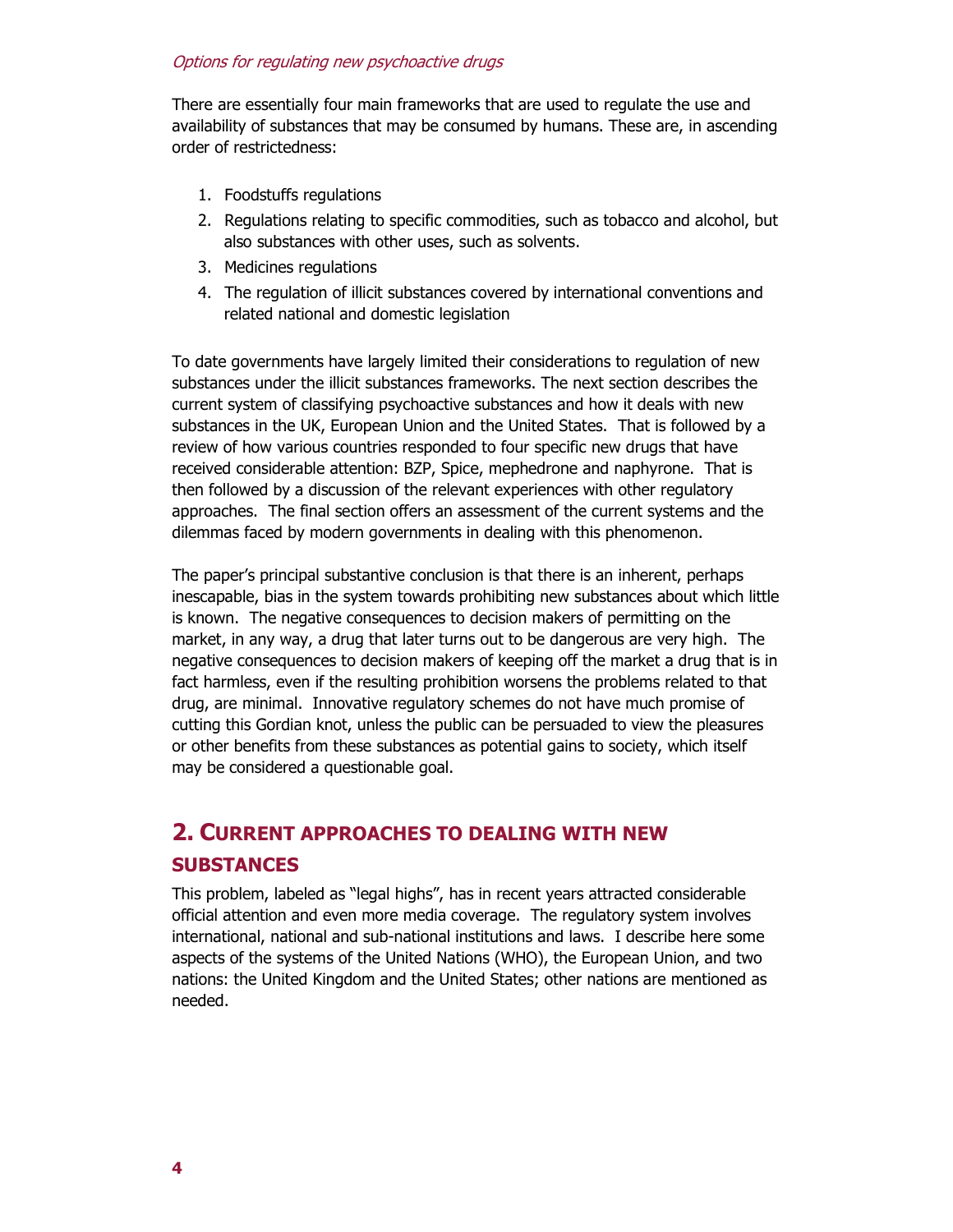There are essentially four main frameworks that are used to regulate the use and availability of substances that may be consumed by humans. These are, in ascending order of restrictedness:

- 1. Foodstuffs regulations
- 2. Regulations relating to specific commodities, such as tobacco and alcohol, but also substances with other uses, such as solvents.
- 3. Medicines regulations
- 4. The regulation of illicit substances covered by international conventions and related national and domestic legislation

To date governments have largely limited their considerations to regulation of new substances under the illicit substances frameworks. The next section describes the current system of classifying psychoactive substances and how it deals with new substances in the UK, European Union and the United States. That is followed by a review of how various countries responded to four specific new drugs that have received considerable attention: BZP, Spice, mephedrone and naphyrone. That is then followed by a discussion of the relevant experiences with other regulatory approaches. The final section offers an assessment of the current systems and the dilemmas faced by modern governments in dealing with this phenomenon.

The paper's principal substantive conclusion is that there is an inherent, perhaps inescapable, bias in the system towards prohibiting new substances about which little is known. The negative consequences to decision makers of permitting on the market, in any way, a drug that later turns out to be dangerous are very high. The negative consequences to decision makers of keeping off the market a drug that is in fact harmless, even if the resulting prohibition worsens the problems related to that drug, are minimal. Innovative regulatory schemes do not have much promise of cutting this Gordian knot, unless the public can be persuaded to view the pleasures or other benefits from these substances as potential gains to society, which itself may be considered a questionable goal.

# **2. CURRENT APPROACHES TO DEALING WITH NEW SUBSTANCES**

This problem, labeled as "legal highs", has in recent years attracted considerable official attention and even more media coverage. The regulatory system involves international, national and sub-national institutions and laws. I describe here some aspects of the systems of the United Nations (WHO), the European Union, and two nations: the United Kingdom and the United States; other nations are mentioned as needed.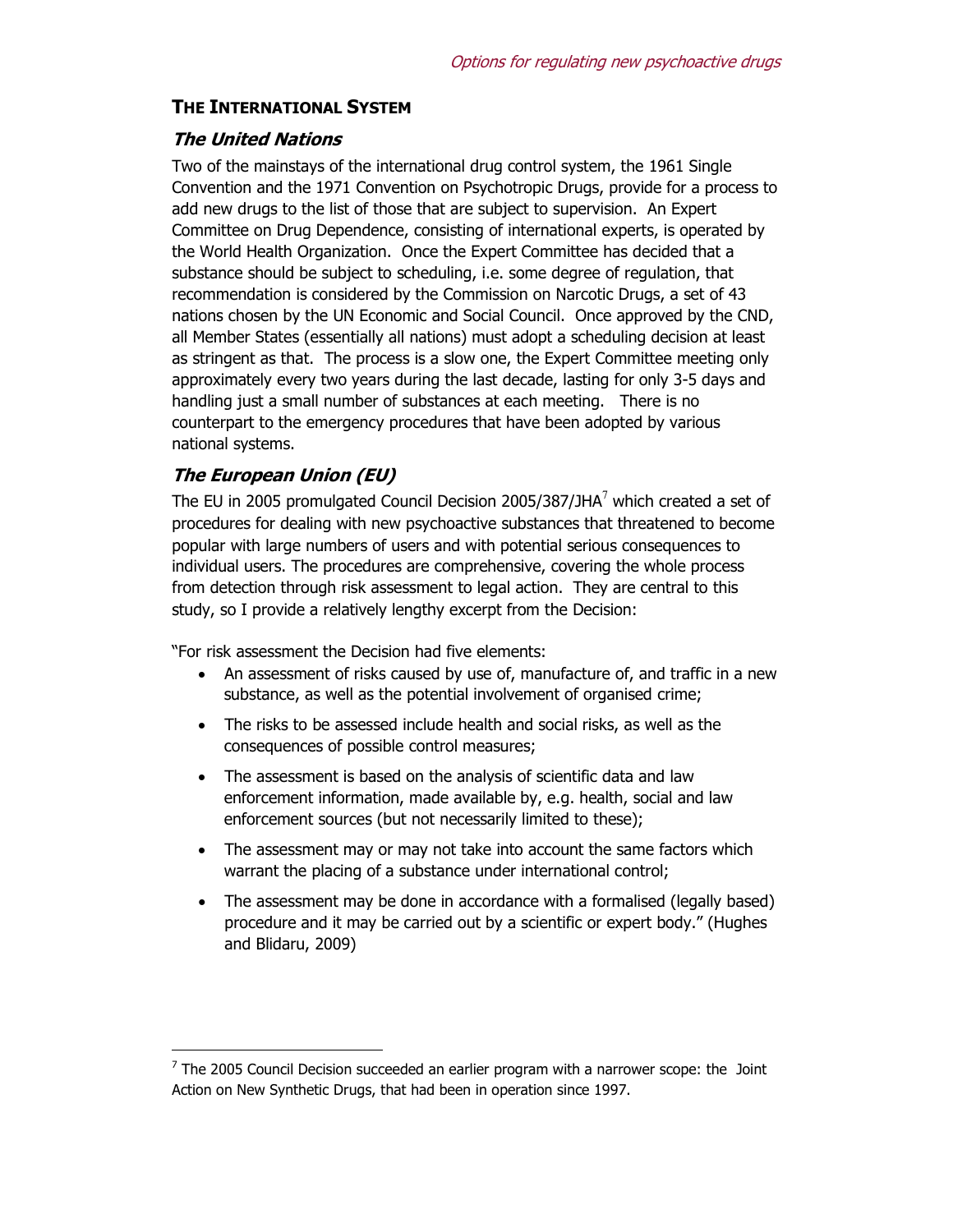#### **THE INTERNATIONAL SYSTEM**

#### **The United Nations**

Two of the mainstays of the international drug control system, the 1961 Single Convention and the 1971 Convention on Psychotropic Drugs, provide for a process to add new drugs to the list of those that are subject to supervision. An Expert Committee on Drug Dependence, consisting of international experts, is operated by the World Health Organization. Once the Expert Committee has decided that a substance should be subject to scheduling, i.e. some degree of regulation, that recommendation is considered by the Commission on Narcotic Drugs, a set of 43 nations chosen by the UN Economic and Social Council. Once approved by the CND, all Member States (essentially all nations) must adopt a scheduling decision at least as stringent as that. The process is a slow one, the Expert Committee meeting only approximately every two years during the last decade, lasting for only 3-5 days and handling just a small number of substances at each meeting. There is no counterpart to the emergency procedures that have been adopted by various national systems.

#### **The European Union (EU)**

-

The EU in 2005 promulgated Council Decision 2005/387/JHA $^7$  which created a set of procedures for dealing with new psychoactive substances that threatened to become popular with large numbers of users and with potential serious consequences to individual users. The procedures are comprehensive, covering the whole process from detection through risk assessment to legal action. They are central to this study, so I provide a relatively lengthy excerpt from the Decision:

"For risk assessment the Decision had five elements:

- An assessment of risks caused by use of, manufacture of, and traffic in a new substance, as well as the potential involvement of organised crime;
- The risks to be assessed include health and social risks, as well as the consequences of possible control measures;
- The assessment is based on the analysis of scientific data and law enforcement information, made available by, e.g. health, social and law enforcement sources (but not necessarily limited to these);
- The assessment may or may not take into account the same factors which warrant the placing of a substance under international control;
- The assessment may be done in accordance with a formalised (legally based) procedure and it may be carried out by a scientific or expert body." (Hughes and Blidaru, 2009)

 $<sup>7</sup>$  The 2005 Council Decision succeeded an earlier program with a narrower scope: the Joint</sup> Action on New Synthetic Drugs, that had been in operation since 1997.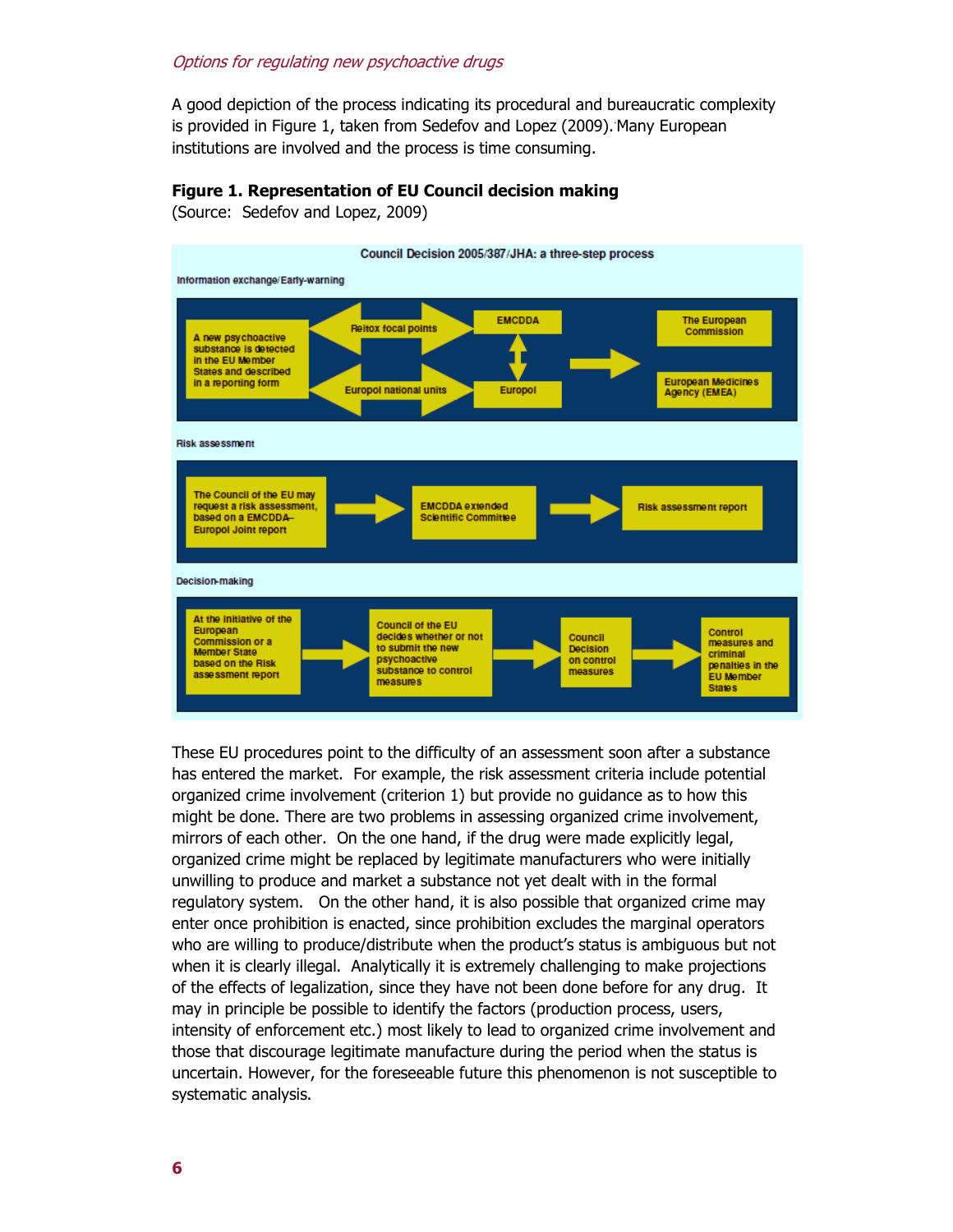A good depiction of the process indicating its procedural and bureaucratic complexity is provided in Figure 1, taken from Sedefov and Lopez (2009). Many European institutions are involved and the process is time consuming.

#### **Figure 1. Representation of EU Council decision making**

(Source: Sedefov and Lopez, 2009)



These EU procedures point to the difficulty of an assessment soon after a substance has entered the market. For example, the risk assessment criteria include potential organized crime involvement (criterion 1) but provide no guidance as to how this might be done. There are two problems in assessing organized crime involvement, mirrors of each other. On the one hand, if the drug were made explicitly legal, organized crime might be replaced by legitimate manufacturers who were initially unwilling to produce and market a substance not yet dealt with in the formal regulatory system. On the other hand, it is also possible that organized crime may enter once prohibition is enacted, since prohibition excludes the marginal operators who are willing to produce/distribute when the product's status is ambiguous but not when it is clearly illegal. Analytically it is extremely challenging to make projections of the effects of legalization, since they have not been done before for any drug. It may in principle be possible to identify the factors (production process, users, intensity of enforcement etc.) most likely to lead to organized crime involvement and those that discourage legitimate manufacture during the period when the status is uncertain. However, for the foreseeable future this phenomenon is not susceptible to systematic analysis.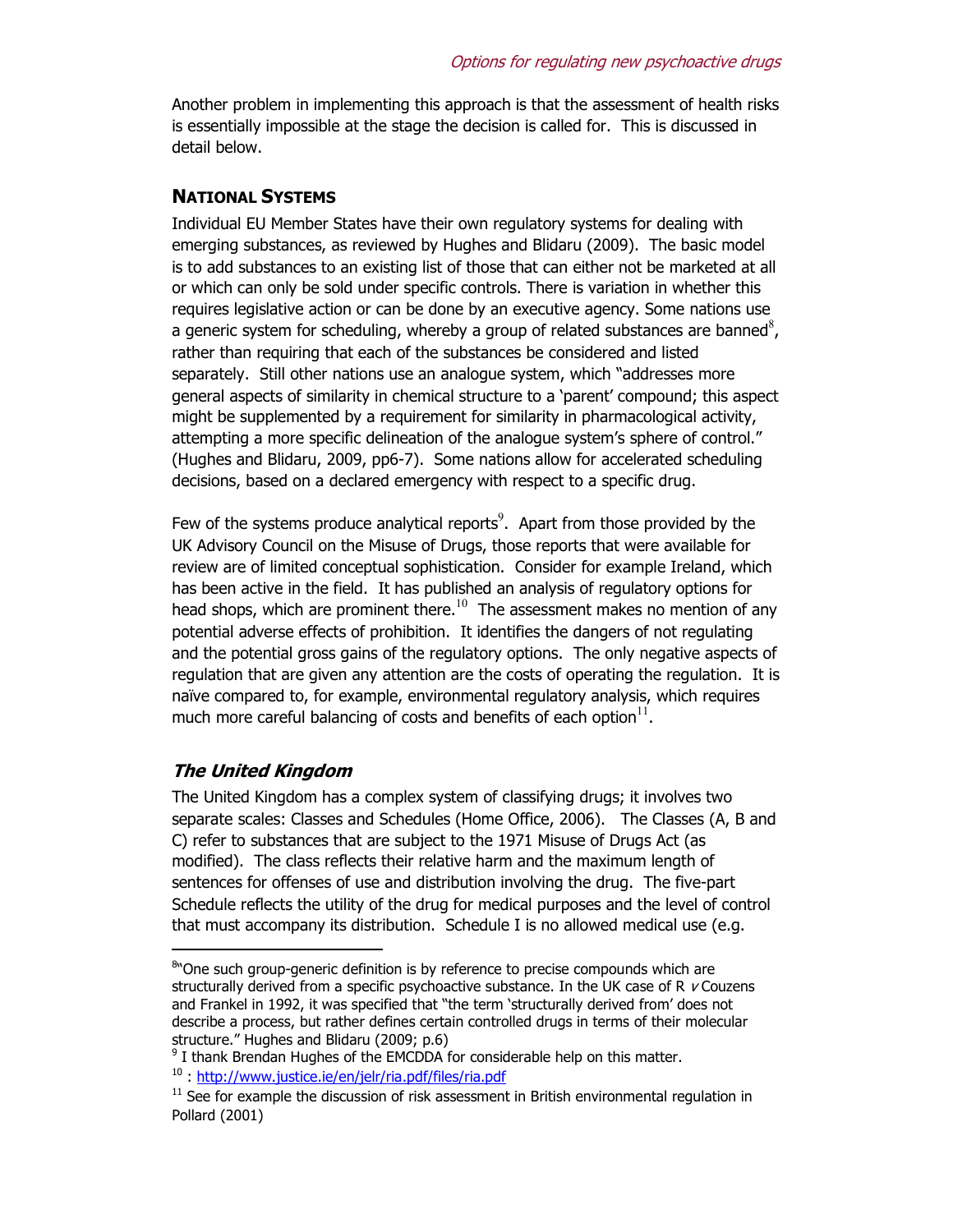Another problem in implementing this approach is that the assessment of health risks is essentially impossible at the stage the decision is called for. This is discussed in detail below.

#### **NATIONAL SYSTEMS**

Individual EU Member States have their own regulatory systems for dealing with emerging substances, as reviewed by Hughes and Blidaru (2009). The basic model is to add substances to an existing list of those that can either not be marketed at all or which can only be sold under specific controls. There is variation in whether this requires legislative action or can be done by an executive agency. Some nations use a generic system for scheduling, whereby a group of related substances are banned<sup>8</sup>, rather than requiring that each of the substances be considered and listed separately. Still other nations use an analogue system, which "addresses more general aspects of similarity in chemical structure to a 'parent' compound; this aspect might be supplemented by a requirement for similarity in pharmacological activity, attempting a more specific delineation of the analogue system's sphere of control." (Hughes and Blidaru, 2009, pp6-7). Some nations allow for accelerated scheduling decisions, based on a declared emergency with respect to a specific drug.

Few of the systems produce analytical reports<sup>9</sup>. Apart from those provided by the UK Advisory Council on the Misuse of Drugs, those reports that were available for review are of limited conceptual sophistication. Consider for example Ireland, which has been active in the field. It has published an analysis of regulatory options for head shops, which are prominent there.<sup>10</sup> The assessment makes no mention of any potential adverse effects of prohibition. It identifies the dangers of not regulating and the potential gross gains of the regulatory options. The only negative aspects of regulation that are given any attention are the costs of operating the regulation. It is naïve compared to, for example, environmental regulatory analysis, which requires much more careful balancing of costs and benefits of each option $11$ .

#### **The United Kingdom**

-

The United Kingdom has a complex system of classifying drugs; it involves two separate scales: Classes and Schedules (Home Office, 2006). The Classes (A, B and C) refer to substances that are subject to the 1971 Misuse of Drugs Act (as modified). The class reflects their relative harm and the maximum length of sentences for offenses of use and distribution involving the drug. The five-part Schedule reflects the utility of the drug for medical purposes and the level of control that must accompany its distribution. Schedule I is no allowed medical use (e.g.

<sup>&</sup>lt;sup>8</sup> One such group-generic definition is by reference to precise compounds which are structurally derived from a specific psychoactive substance. In the UK case of R  $\nu$  Couzens and Frankel in 1992, it was specified that "the term 'structurally derived from' does not describe a process, but rather defines certain controlled drugs in terms of their molecular structure." Hughes and Blidaru (2009; p.6)

 $9$  I thank Brendan Hughes of the EMCDDA for considerable help on this matter. <sup>10</sup> : http://www.justice.ie/en/jelr/ria.pdf/files/ria.pdf

 $11$  See for example the discussion of risk assessment in British environmental regulation in Pollard (2001)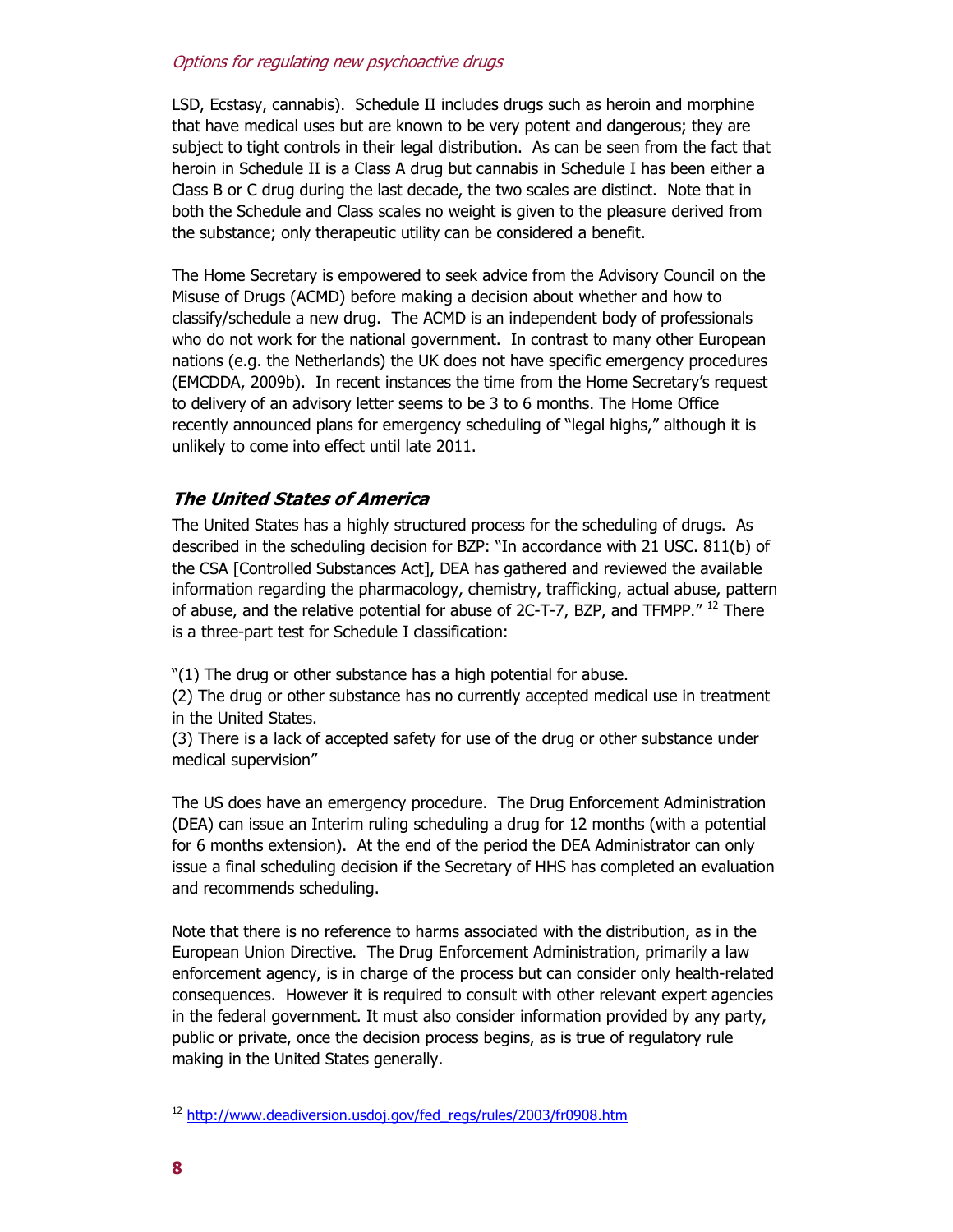LSD, Ecstasy, cannabis). Schedule II includes drugs such as heroin and morphine that have medical uses but are known to be very potent and dangerous; they are subject to tight controls in their legal distribution. As can be seen from the fact that heroin in Schedule II is a Class A drug but cannabis in Schedule I has been either a Class B or C drug during the last decade, the two scales are distinct. Note that in both the Schedule and Class scales no weight is given to the pleasure derived from the substance; only therapeutic utility can be considered a benefit.

The Home Secretary is empowered to seek advice from the Advisory Council on the Misuse of Drugs (ACMD) before making a decision about whether and how to classify/schedule a new drug. The ACMD is an independent body of professionals who do not work for the national government. In contrast to many other European nations (e.g. the Netherlands) the UK does not have specific emergency procedures (EMCDDA, 2009b). In recent instances the time from the Home Secretary's request to delivery of an advisory letter seems to be 3 to 6 months. The Home Office recently announced plans for emergency scheduling of "legal highs," although it is unlikely to come into effect until late 2011.

### **The United States of America**

The United States has a highly structured process for the scheduling of drugs. As described in the scheduling decision for BZP: "In accordance with 21 USC. 811(b) of the CSA [Controlled Substances Act], DEA has gathered and reviewed the available information regarding the pharmacology, chemistry, trafficking, actual abuse, pattern of abuse, and the relative potential for abuse of 2C-T-7, BZP, and TFMPP."<sup>12</sup> There is a three-part test for Schedule I classification:

"(1) The drug or other substance has a high potential for abuse.

(2) The drug or other substance has no currently accepted medical use in treatment in the United States.

(3) There is a lack of accepted safety for use of the drug or other substance under medical supervision"

The US does have an emergency procedure. The Drug Enforcement Administration (DEA) can issue an Interim ruling scheduling a drug for 12 months (with a potential for 6 months extension). At the end of the period the DEA Administrator can only issue a final scheduling decision if the Secretary of HHS has completed an evaluation and recommends scheduling.

Note that there is no reference to harms associated with the distribution, as in the European Union Directive. The Drug Enforcement Administration, primarily a law enforcement agency, is in charge of the process but can consider only health-related consequences. However it is required to consult with other relevant expert agencies in the federal government. It must also consider information provided by any party, public or private, once the decision process begins, as is true of regulatory rule making in the United States generally.

<sup>&</sup>lt;sup>12</sup> http://www.deadiversion.usdoj.gov/fed\_regs/rules/2003/fr0908.htm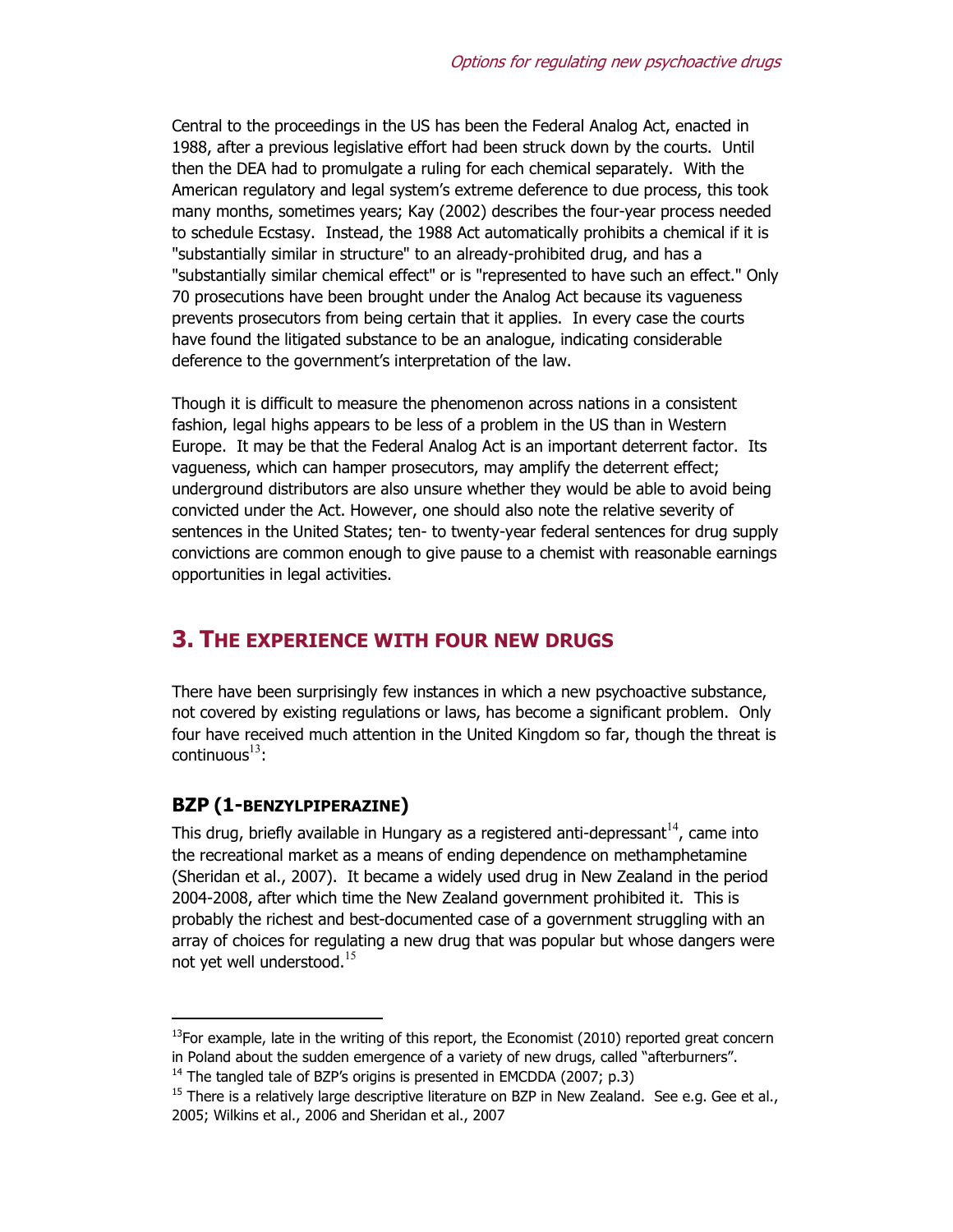Central to the proceedings in the US has been the Federal Analog Act, enacted in 1988, after a previous legislative effort had been struck down by the courts. Until then the DEA had to promulgate a ruling for each chemical separately. With the American regulatory and legal system's extreme deference to due process, this took many months, sometimes years; Kay (2002) describes the four-year process needed to schedule Ecstasy. Instead, the 1988 Act automatically prohibits a chemical if it is "substantially similar in structure" to an already-prohibited drug, and has a "substantially similar chemical effect" or is "represented to have such an effect." Only 70 prosecutions have been brought under the Analog Act because its vagueness prevents prosecutors from being certain that it applies. In every case the courts have found the litigated substance to be an analogue, indicating considerable deference to the government's interpretation of the law.

Though it is difficult to measure the phenomenon across nations in a consistent fashion, legal highs appears to be less of a problem in the US than in Western Europe. It may be that the Federal Analog Act is an important deterrent factor. Its vagueness, which can hamper prosecutors, may amplify the deterrent effect; underground distributors are also unsure whether they would be able to avoid being convicted under the Act. However, one should also note the relative severity of sentences in the United States; ten- to twenty-year federal sentences for drug supply convictions are common enough to give pause to a chemist with reasonable earnings opportunities in legal activities.

## **3. THE EXPERIENCE WITH FOUR NEW DRUGS**

There have been surprisingly few instances in which a new psychoactive substance, not covered by existing regulations or laws, has become a significant problem. Only four have received much attention in the United Kingdom so far, though the threat is continuous $^{13}$ :

### **BZP (1-BENZYLPIPERAZINE)**

-

This drug, briefly available in Hungary as a registered anti-depressant  $14$ , came into the recreational market as a means of ending dependence on methamphetamine (Sheridan et al., 2007). It became a widely used drug in New Zealand in the period 2004-2008, after which time the New Zealand government prohibited it. This is probably the richest and best-documented case of a government struggling with an array of choices for regulating a new drug that was popular but whose dangers were not yet well understood.<sup>15</sup>

 $<sup>13</sup>$ For example, late in the writing of this report, the Economist (2010) reported great concern</sup> in Poland about the sudden emergence of a variety of new drugs, called "afterburners".

 $14$  The tangled tale of BZP's origins is presented in EMCDDA (2007; p.3)

 $15$  There is a relatively large descriptive literature on BZP in New Zealand. See e.g. Gee et al., 2005; Wilkins et al., 2006 and Sheridan et al., 2007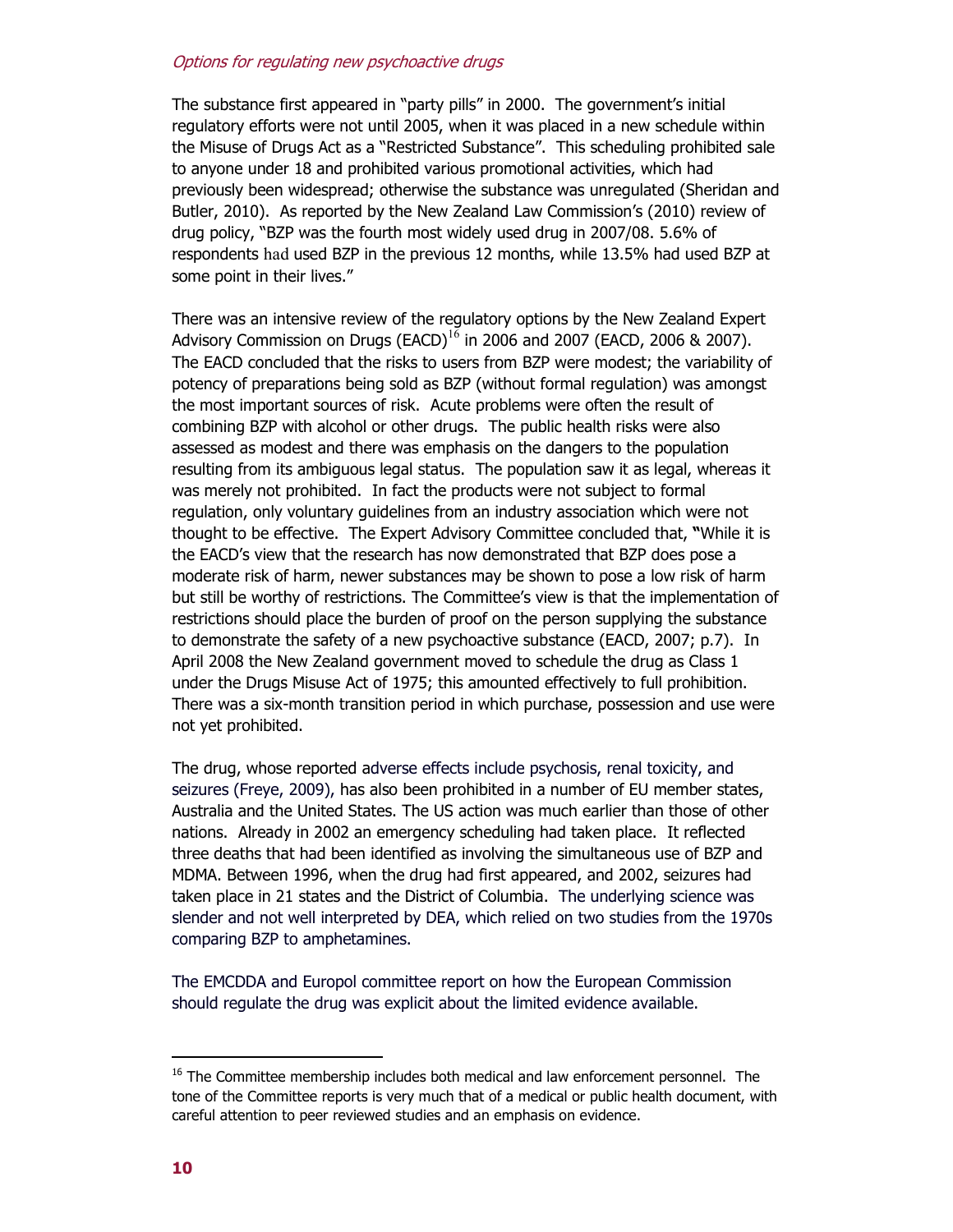The substance first appeared in "party pills" in 2000. The government's initial regulatory efforts were not until 2005, when it was placed in a new schedule within the Misuse of Drugs Act as a "Restricted Substance". This scheduling prohibited sale to anyone under 18 and prohibited various promotional activities, which had previously been widespread; otherwise the substance was unregulated (Sheridan and Butler, 2010). As reported by the New Zealand Law Commission's (2010) review of drug policy, "BZP was the fourth most widely used drug in 2007/08. 5.6% of respondents had used BZP in the previous 12 months, while 13.5% had used BZP at some point in their lives."

There was an intensive review of the regulatory options by the New Zealand Expert Advisory Commission on Drugs (EACD) $16$  in 2006 and 2007 (EACD, 2006 & 2007). The EACD concluded that the risks to users from BZP were modest; the variability of potency of preparations being sold as BZP (without formal regulation) was amongst the most important sources of risk. Acute problems were often the result of combining BZP with alcohol or other drugs. The public health risks were also assessed as modest and there was emphasis on the dangers to the population resulting from its ambiguous legal status. The population saw it as legal, whereas it was merely not prohibited. In fact the products were not subject to formal regulation, only voluntary guidelines from an industry association which were not thought to be effective. The Expert Advisory Committee concluded that, **"**While it is the EACD's view that the research has now demonstrated that BZP does pose a moderate risk of harm, newer substances may be shown to pose a low risk of harm but still be worthy of restrictions. The Committee's view is that the implementation of restrictions should place the burden of proof on the person supplying the substance to demonstrate the safety of a new psychoactive substance (EACD, 2007; p.7). In April 2008 the New Zealand government moved to schedule the drug as Class 1 under the Drugs Misuse Act of 1975; this amounted effectively to full prohibition. There was a six-month transition period in which purchase, possession and use were not yet prohibited.

The drug, whose reported adverse effects include psychosis, renal toxicity, and seizures (Freye, 2009), has also been prohibited in a number of EU member states, Australia and the United States. The US action was much earlier than those of other nations. Already in 2002 an emergency scheduling had taken place. It reflected three deaths that had been identified as involving the simultaneous use of BZP and MDMA. Between 1996, when the drug had first appeared, and 2002, seizures had taken place in 21 states and the District of Columbia. The underlying science was slender and not well interpreted by DEA, which relied on two studies from the 1970s comparing BZP to amphetamines.

The EMCDDA and Europol committee report on how the European Commission should regulate the drug was explicit about the limited evidence available.

 $<sup>16</sup>$  The Committee membership includes both medical and law enforcement personnel. The</sup> tone of the Committee reports is very much that of a medical or public health document, with careful attention to peer reviewed studies and an emphasis on evidence.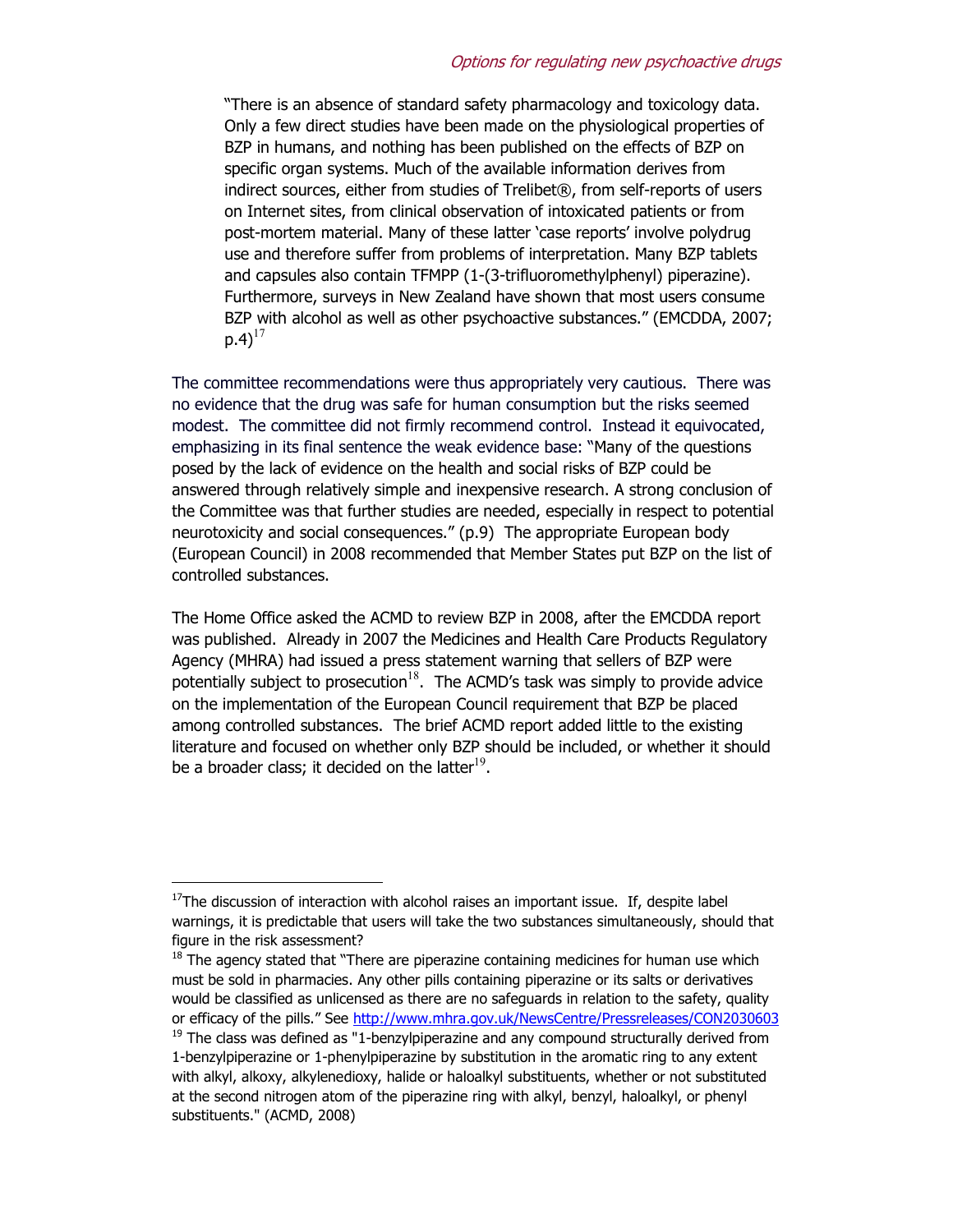"There is an absence of standard safety pharmacology and toxicology data. Only a few direct studies have been made on the physiological properties of BZP in humans, and nothing has been published on the effects of BZP on specific organ systems. Much of the available information derives from indirect sources, either from studies of Trelibet®, from self-reports of users on Internet sites, from clinical observation of intoxicated patients or from post-mortem material. Many of these latter 'case reports' involve polydrug use and therefore suffer from problems of interpretation. Many BZP tablets and capsules also contain TFMPP (1-(3-trifluoromethylphenyl) piperazine). Furthermore, surveys in New Zealand have shown that most users consume BZP with alcohol as well as other psychoactive substances." (EMCDDA, 2007;  $p.4$ <sup>17</sup>

The committee recommendations were thus appropriately very cautious. There was no evidence that the drug was safe for human consumption but the risks seemed modest. The committee did not firmly recommend control. Instead it equivocated, emphasizing in its final sentence the weak evidence base: "Many of the questions posed by the lack of evidence on the health and social risks of BZP could be answered through relatively simple and inexpensive research. A strong conclusion of the Committee was that further studies are needed, especially in respect to potential neurotoxicity and social consequences." (p.9) The appropriate European body (European Council) in 2008 recommended that Member States put BZP on the list of controlled substances.

The Home Office asked the ACMD to review BZP in 2008, after the EMCDDA report was published. Already in 2007 the Medicines and Health Care Products Regulatory Agency (MHRA) had issued a press statement warning that sellers of BZP were potentially subject to prosecution $18$ . The ACMD's task was simply to provide advice on the implementation of the European Council requirement that BZP be placed among controlled substances. The brief ACMD report added little to the existing literature and focused on whether only BZP should be included, or whether it should be a broader class; it decided on the latter $^{19}$ .

 $17$ The discussion of interaction with alcohol raises an important issue. If, despite label warnings, it is predictable that users will take the two substances simultaneously, should that figure in the risk assessment?

 $18$  The agency stated that "There are piperazine containing medicines for human use which must be sold in pharmacies. Any other pills containing piperazine or its salts or derivatives would be classified as unlicensed as there are no safeguards in relation to the safety, quality or efficacy of the pills." See http://www.mhra.gov.uk/NewsCentre/Pressreleases/CON2030603  $19$  The class was defined as "1-benzylpiperazine and any compound structurally derived from 1-benzylpiperazine or 1-phenylpiperazine by substitution in the aromatic ring to any extent with alkyl, alkoxy, alkylenedioxy, halide or haloalkyl substituents, whether or not substituted at the second nitrogen atom of the piperazine ring with alkyl, benzyl, haloalkyl, or phenyl substituents." (ACMD, 2008)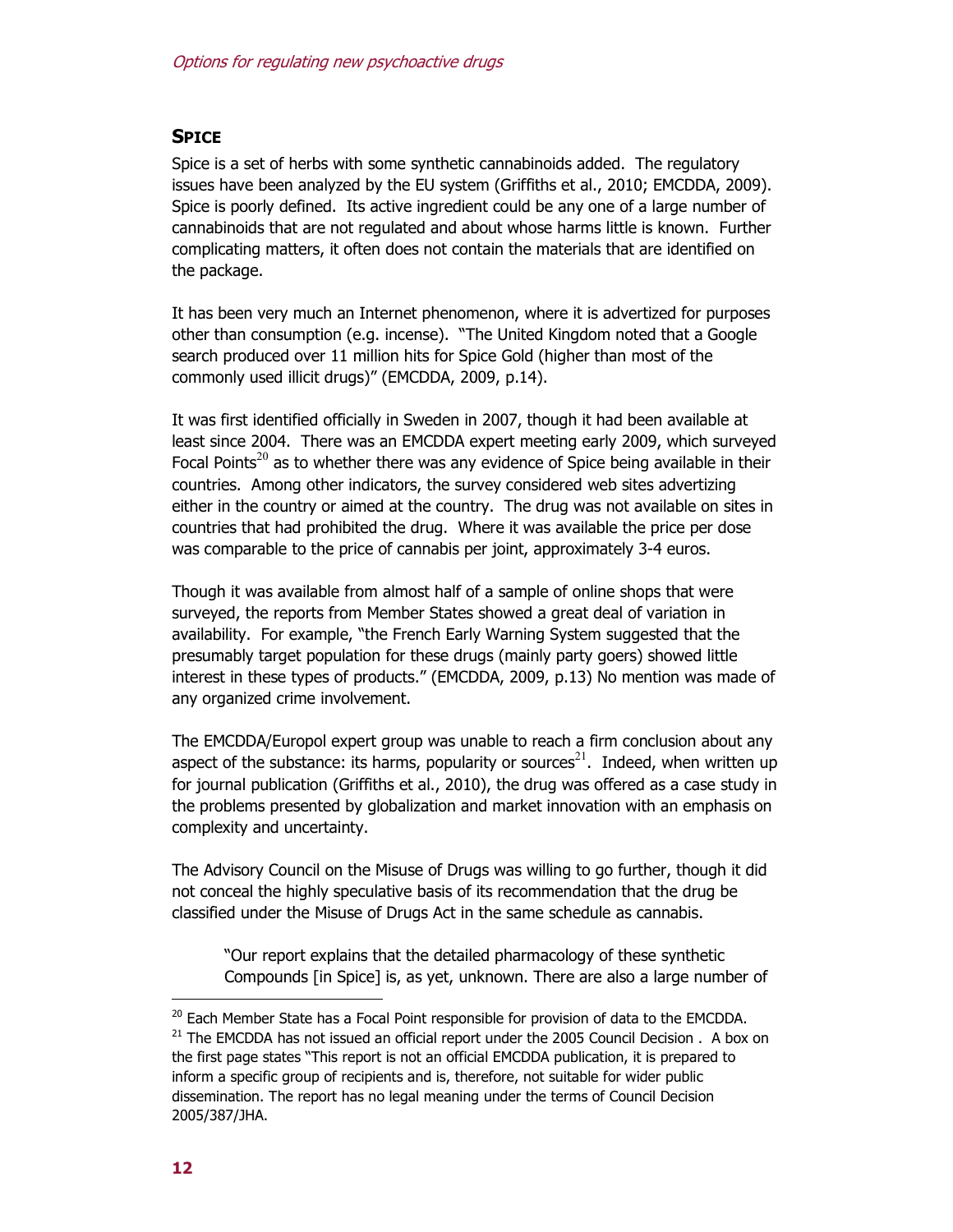### **SPICE**

Spice is a set of herbs with some synthetic cannabinoids added. The regulatory issues have been analyzed by the EU system (Griffiths et al., 2010; EMCDDA, 2009). Spice is poorly defined. Its active ingredient could be any one of a large number of cannabinoids that are not regulated and about whose harms little is known. Further complicating matters, it often does not contain the materials that are identified on the package.

It has been very much an Internet phenomenon, where it is advertized for purposes other than consumption (e.g. incense). "The United Kingdom noted that a Google search produced over 11 million hits for Spice Gold (higher than most of the commonly used illicit drugs)" (EMCDDA, 2009, p.14).

It was first identified officially in Sweden in 2007, though it had been available at least since 2004. There was an EMCDDA expert meeting early 2009, which surveyed Focal Points<sup>20</sup> as to whether there was any evidence of Spice being available in their countries. Among other indicators, the survey considered web sites advertizing either in the country or aimed at the country. The drug was not available on sites in countries that had prohibited the drug. Where it was available the price per dose was comparable to the price of cannabis per joint, approximately 3-4 euros.

Though it was available from almost half of a sample of online shops that were surveyed, the reports from Member States showed a great deal of variation in availability. For example, "the French Early Warning System suggested that the presumably target population for these drugs (mainly party goers) showed little interest in these types of products." (EMCDDA, 2009, p.13) No mention was made of any organized crime involvement.

The EMCDDA/Europol expert group was unable to reach a firm conclusion about any aspect of the substance: its harms, popularity or sources<sup>21</sup>. Indeed, when written up for journal publication (Griffiths et al., 2010), the drug was offered as a case study in the problems presented by globalization and market innovation with an emphasis on complexity and uncertainty.

The Advisory Council on the Misuse of Drugs was willing to go further, though it did not conceal the highly speculative basis of its recommendation that the drug be classified under the Misuse of Drugs Act in the same schedule as cannabis.

"Our report explains that the detailed pharmacology of these synthetic Compounds [in Spice] is, as yet, unknown. There are also a large number of

<sup>&</sup>lt;sup>20</sup> Each Member State has a Focal Point responsible for provision of data to the EMCDDA.  $21$  The EMCDDA has not issued an official report under the 2005 Council Decision . A box on the first page states "This report is not an official EMCDDA publication, it is prepared to inform a specific group of recipients and is, therefore, not suitable for wider public dissemination. The report has no legal meaning under the terms of Council Decision 2005/387/JHA.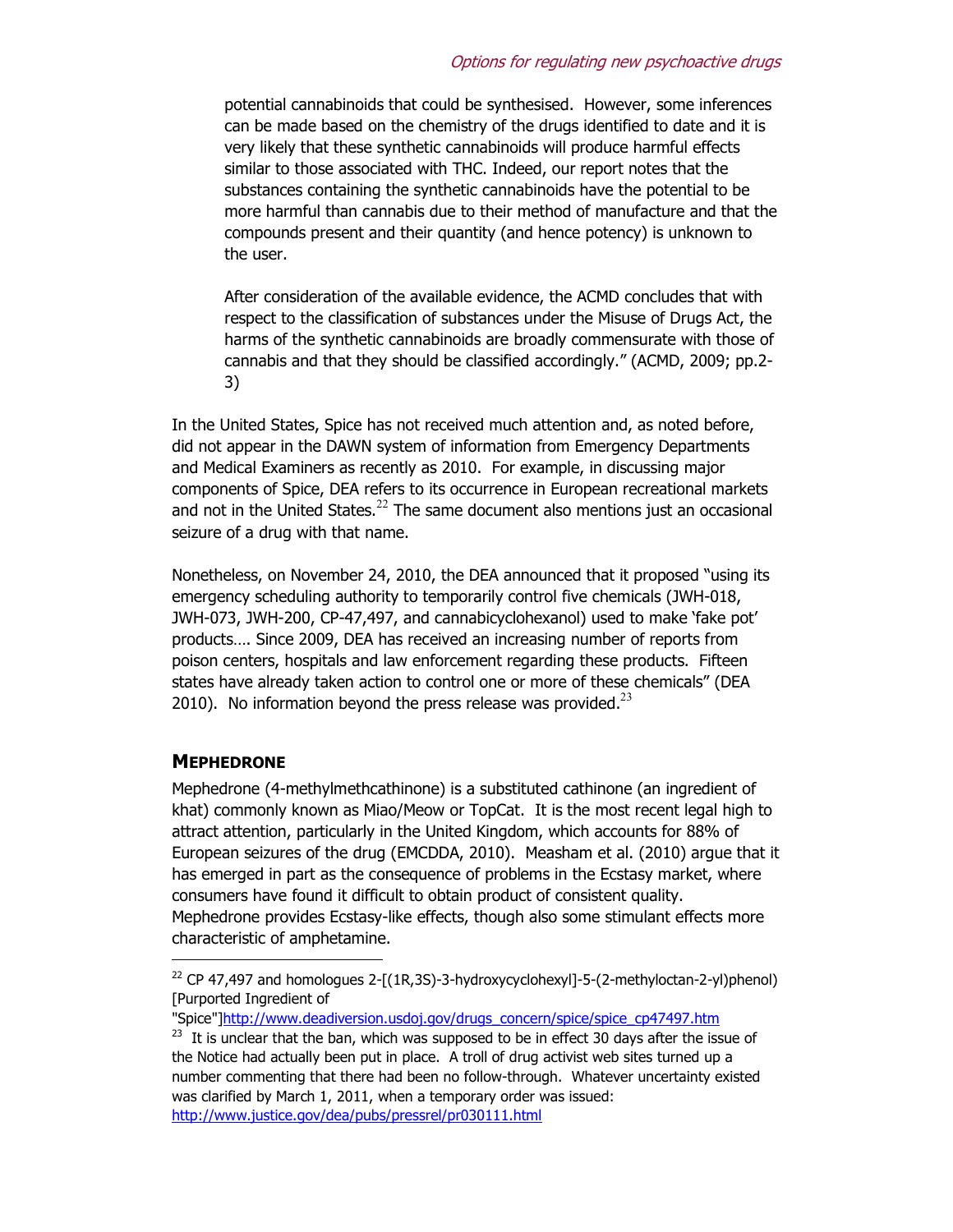potential cannabinoids that could be synthesised. However, some inferences can be made based on the chemistry of the drugs identified to date and it is very likely that these synthetic cannabinoids will produce harmful effects similar to those associated with THC. Indeed, our report notes that the substances containing the synthetic cannabinoids have the potential to be more harmful than cannabis due to their method of manufacture and that the compounds present and their quantity (and hence potency) is unknown to the user.

After consideration of the available evidence, the ACMD concludes that with respect to the classification of substances under the Misuse of Drugs Act, the harms of the synthetic cannabinoids are broadly commensurate with those of cannabis and that they should be classified accordingly." (ACMD, 2009; pp.2- 3)

In the United States, Spice has not received much attention and, as noted before, did not appear in the DAWN system of information from Emergency Departments and Medical Examiners as recently as 2010. For example, in discussing major components of Spice, DEA refers to its occurrence in European recreational markets and not in the United States. $^{22}$  The same document also mentions just an occasional seizure of a drug with that name.

Nonetheless, on November 24, 2010, the DEA announced that it proposed "using its emergency scheduling authority to temporarily control five chemicals (JWH-018, JWH-073, JWH-200, CP-47,497, and cannabicyclohexanol) used to make 'fake pot' products…. Since 2009, DEA has received an increasing number of reports from poison centers, hospitals and law enforcement regarding these products. Fifteen states have already taken action to control one or more of these chemicals" (DEA 2010). No information beyond the press release was provided. $^{23}$ 

### **MEPHEDRONE**

-

Mephedrone (4-methylmethcathinone) is a substituted cathinone (an ingredient of khat) commonly known as Miao/Meow or TopCat. It is the most recent legal high to attract attention, particularly in the United Kingdom, which accounts for 88% of European seizures of the drug (EMCDDA, 2010). Measham et al. (2010) argue that it has emerged in part as the consequence of problems in the Ecstasy market, where consumers have found it difficult to obtain product of consistent quality. Mephedrone provides Ecstasy-like effects, though also some stimulant effects more characteristic of amphetamine.

"Spice"]http://www.deadiversion.usdoj.gov/drugs\_concern/spice/spice\_cp47497.htm

 $22$  CP 47,497 and homologues 2-[(1R,3S)-3-hydroxycyclohexyl]-5-(2-methyloctan-2-yl)phenol) [Purported Ingredient of

 $23$  It is unclear that the ban, which was supposed to be in effect 30 days after the issue of the Notice had actually been put in place. A troll of drug activist web sites turned up a number commenting that there had been no follow-through. Whatever uncertainty existed was clarified by March 1, 2011, when a temporary order was issued: http://www.justice.gov/dea/pubs/pressrel/pr030111.html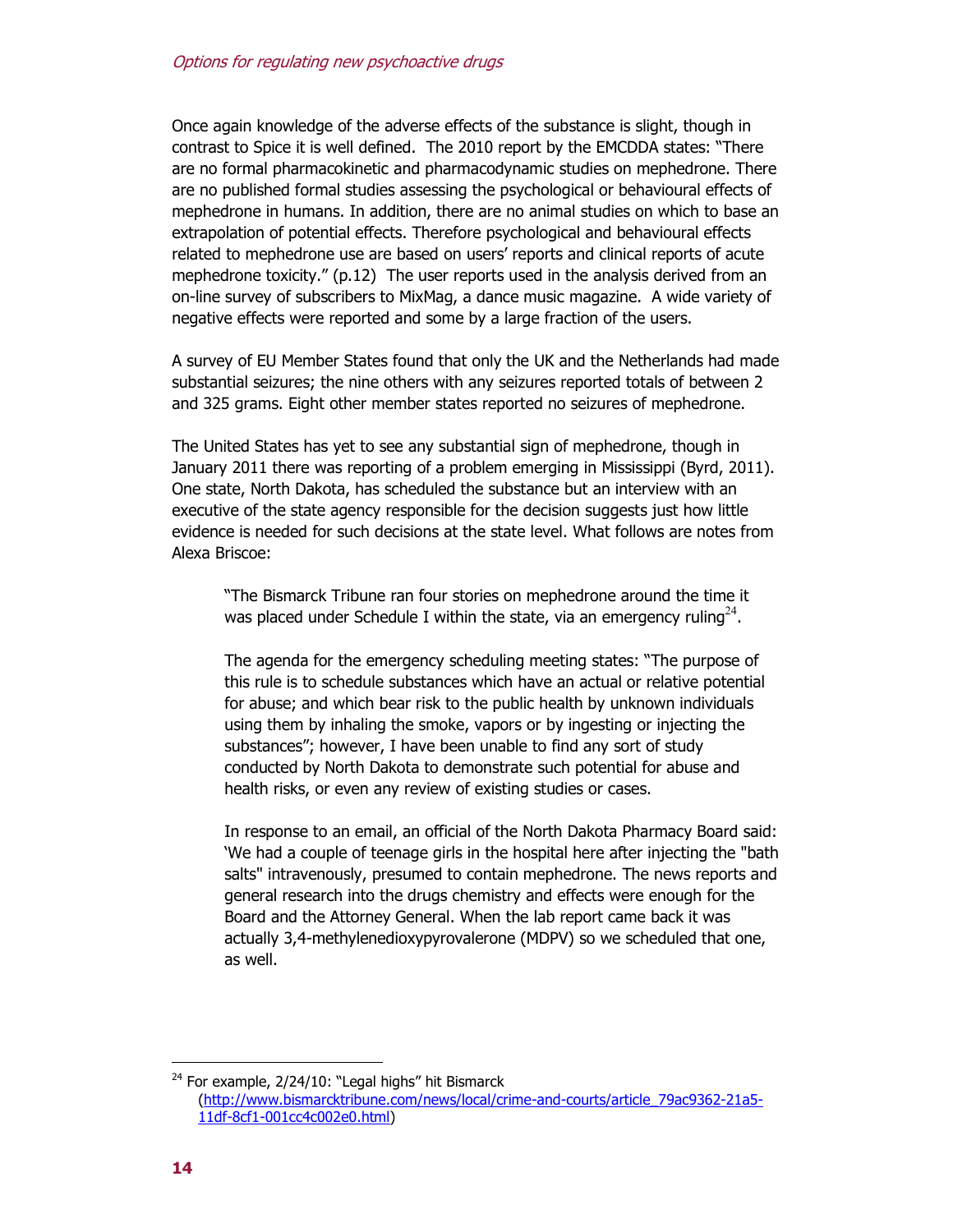Once again knowledge of the adverse effects of the substance is slight, though in contrast to Spice it is well defined. The 2010 report by the EMCDDA states: "There are no formal pharmacokinetic and pharmacodynamic studies on mephedrone. There are no published formal studies assessing the psychological or behavioural effects of mephedrone in humans. In addition, there are no animal studies on which to base an extrapolation of potential effects. Therefore psychological and behavioural effects related to mephedrone use are based on users' reports and clinical reports of acute mephedrone toxicity." (p.12) The user reports used in the analysis derived from an on-line survey of subscribers to MixMag, a dance music magazine. A wide variety of negative effects were reported and some by a large fraction of the users.

A survey of EU Member States found that only the UK and the Netherlands had made substantial seizures; the nine others with any seizures reported totals of between 2 and 325 grams. Eight other member states reported no seizures of mephedrone.

The United States has yet to see any substantial sign of mephedrone, though in January 2011 there was reporting of a problem emerging in Mississippi (Byrd, 2011). One state, North Dakota, has scheduled the substance but an interview with an executive of the state agency responsible for the decision suggests just how little evidence is needed for such decisions at the state level. What follows are notes from Alexa Briscoe:

"The Bismarck Tribune ran four stories on mephedrone around the time it was placed under Schedule I within the state, via an emergency ruling<sup>24</sup>.

The agenda for the emergency scheduling meeting states: "The purpose of this rule is to schedule substances which have an actual or relative potential for abuse; and which bear risk to the public health by unknown individuals using them by inhaling the smoke, vapors or by ingesting or injecting the substances"; however, I have been unable to find any sort of study conducted by North Dakota to demonstrate such potential for abuse and health risks, or even any review of existing studies or cases.

In response to an email, an official of the North Dakota Pharmacy Board said: 'We had a couple of teenage girls in the hospital here after injecting the "bath salts" intravenously, presumed to contain mephedrone. The news reports and general research into the drugs chemistry and effects were enough for the Board and the Attorney General. When the lab report came back it was actually 3,4-methylenedioxypyrovalerone (MDPV) so we scheduled that one, as well.

<sup>&</sup>lt;sup>24</sup> For example, 2/24/10: "Legal highs" hit Bismarck (http://www.bismarcktribune.com/news/local/crime-and-courts/article\_79ac9362-21a5- 11df-8cf1-001cc4c002e0.html)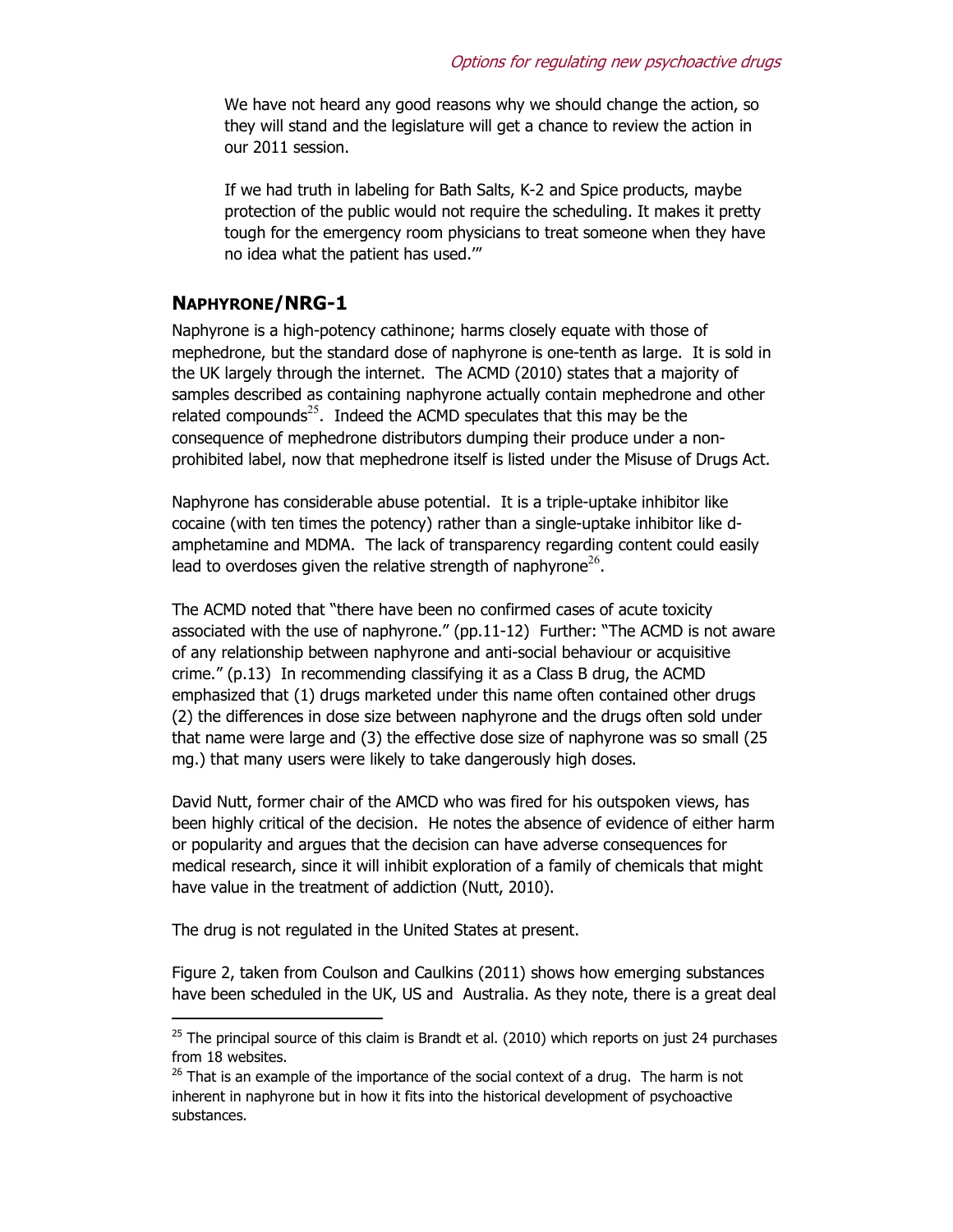We have not heard any good reasons why we should change the action, so they will stand and the legislature will get a chance to review the action in our 2011 session.

If we had truth in labeling for Bath Salts, K-2 and Spice products, maybe protection of the public would not require the scheduling. It makes it pretty tough for the emergency room physicians to treat someone when they have no idea what the patient has used.'"

#### **NAPHYRONE/NRG-1**

Naphyrone is a high-potency cathinone; harms closely equate with those of mephedrone, but the standard dose of naphyrone is one-tenth as large. It is sold in the UK largely through the internet. The ACMD (2010) states that a majority of samples described as containing naphyrone actually contain mephedrone and other related compounds<sup>25</sup>. Indeed the ACMD speculates that this may be the consequence of mephedrone distributors dumping their produce under a nonprohibited label, now that mephedrone itself is listed under the Misuse of Drugs Act.

Naphyrone has considerable abuse potential. It is a triple-uptake inhibitor like cocaine (with ten times the potency) rather than a single-uptake inhibitor like damphetamine and MDMA. The lack of transparency regarding content could easily lead to overdoses given the relative strength of naphyrone<sup>26</sup>.

The ACMD noted that "there have been no confirmed cases of acute toxicity associated with the use of naphyrone." (pp.11-12) Further: "The ACMD is not aware of any relationship between naphyrone and anti-social behaviour or acquisitive crime." (p.13) In recommending classifying it as a Class B drug, the ACMD emphasized that (1) drugs marketed under this name often contained other drugs (2) the differences in dose size between naphyrone and the drugs often sold under that name were large and (3) the effective dose size of naphyrone was so small (25 mg.) that many users were likely to take dangerously high doses.

David Nutt, former chair of the AMCD who was fired for his outspoken views, has been highly critical of the decision. He notes the absence of evidence of either harm or popularity and argues that the decision can have adverse consequences for medical research, since it will inhibit exploration of a family of chemicals that might have value in the treatment of addiction (Nutt, 2010).

The drug is not regulated in the United States at present.

-

Figure 2, taken from Coulson and Caulkins (2011) shows how emerging substances have been scheduled in the UK, US and Australia. As they note, there is a great deal

 $25$  The principal source of this claim is Brandt et al. (2010) which reports on just 24 purchases from 18 websites.

 $26$  That is an example of the importance of the social context of a drug. The harm is not inherent in naphyrone but in how it fits into the historical development of psychoactive substances.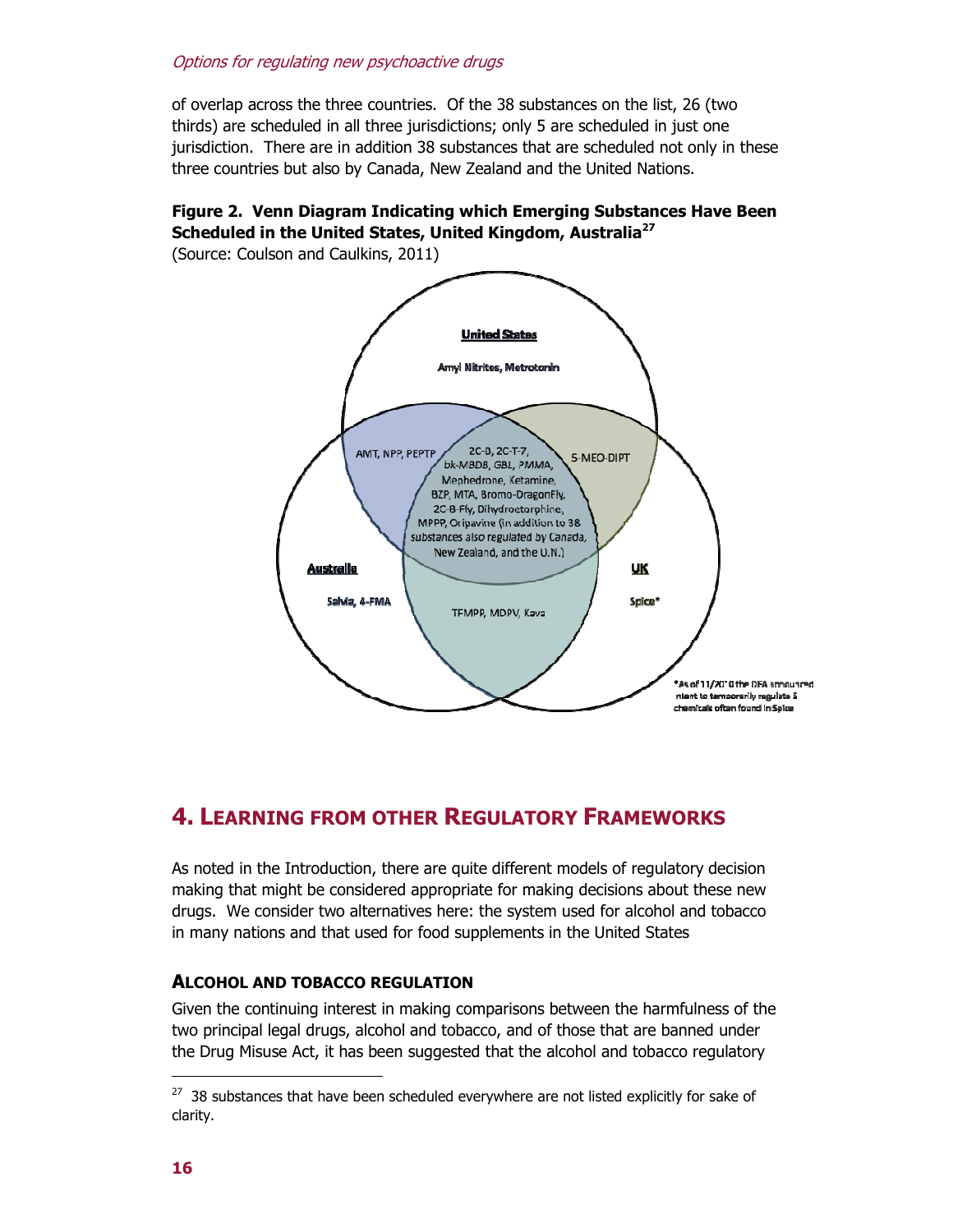of overlap across the three countries. Of the 38 substances on the list, 26 (two thirds) are scheduled in all three jurisdictions; only 5 are scheduled in just one jurisdiction. There are in addition 38 substances that are scheduled not only in these three countries but also by Canada, New Zealand and the United Nations.

## **Figure 2. Venn Diagram Indicating which Emerging Substances Have Been Scheduled in the United States, United Kingdom, Australia<sup>27</sup>**

(Source: Coulson and Caulkins, 2011)



# **4. LEARNING FROM OTHER REGULATORY FRAMEWORKS**

As noted in the Introduction, there are quite different models of regulatory decision making that might be considered appropriate for making decisions about these new drugs. We consider two alternatives here: the system used for alcohol and tobacco in many nations and that used for food supplements in the United States

### **ALCOHOL AND TOBACCO REGULATION**

Given the continuing interest in making comparisons between the harmfulness of the two principal legal drugs, alcohol and tobacco, and of those that are banned under the Drug Misuse Act, it has been suggested that the alcohol and tobacco regulatory

 $27$  38 substances that have been scheduled everywhere are not listed explicitly for sake of clarity.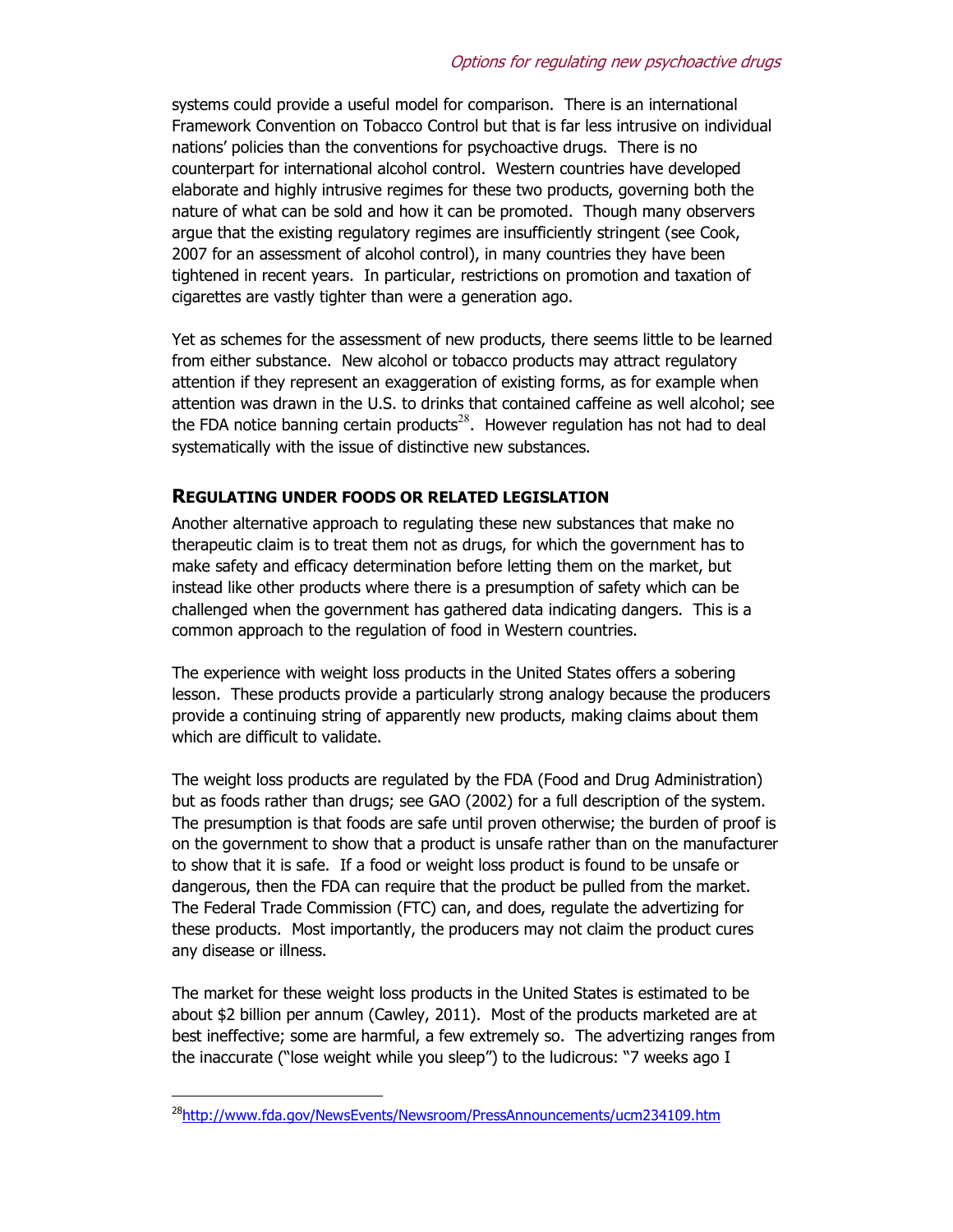systems could provide a useful model for comparison. There is an international Framework Convention on Tobacco Control but that is far less intrusive on individual nations' policies than the conventions for psychoactive drugs. There is no counterpart for international alcohol control. Western countries have developed elaborate and highly intrusive regimes for these two products, governing both the nature of what can be sold and how it can be promoted. Though many observers argue that the existing regulatory regimes are insufficiently stringent (see Cook, 2007 for an assessment of alcohol control), in many countries they have been tightened in recent years. In particular, restrictions on promotion and taxation of cigarettes are vastly tighter than were a generation ago.

Yet as schemes for the assessment of new products, there seems little to be learned from either substance. New alcohol or tobacco products may attract regulatory attention if they represent an exaggeration of existing forms, as for example when attention was drawn in the U.S. to drinks that contained caffeine as well alcohol; see the FDA notice banning certain products<sup>28</sup>. However regulation has not had to deal systematically with the issue of distinctive new substances.

#### **REGULATING UNDER FOODS OR RELATED LEGISLATION**

Another alternative approach to regulating these new substances that make no therapeutic claim is to treat them not as drugs, for which the government has to make safety and efficacy determination before letting them on the market, but instead like other products where there is a presumption of safety which can be challenged when the government has gathered data indicating dangers. This is a common approach to the regulation of food in Western countries.

The experience with weight loss products in the United States offers a sobering lesson. These products provide a particularly strong analogy because the producers provide a continuing string of apparently new products, making claims about them which are difficult to validate.

The weight loss products are regulated by the FDA (Food and Drug Administration) but as foods rather than drugs; see GAO (2002) for a full description of the system. The presumption is that foods are safe until proven otherwise; the burden of proof is on the government to show that a product is unsafe rather than on the manufacturer to show that it is safe. If a food or weight loss product is found to be unsafe or dangerous, then the FDA can require that the product be pulled from the market. The Federal Trade Commission (FTC) can, and does, regulate the advertizing for these products. Most importantly, the producers may not claim the product cures any disease or illness.

The market for these weight loss products in the United States is estimated to be about \$2 billion per annum (Cawley, 2011). Most of the products marketed are at best ineffective; some are harmful, a few extremely so. The advertizing ranges from the inaccurate ("lose weight while you sleep") to the ludicrous: "7 weeks ago I

<sup>&</sup>lt;sup>28</sup>http://www.fda.gov/NewsEvents/Newsroom/PressAnnouncements/ucm234109.htm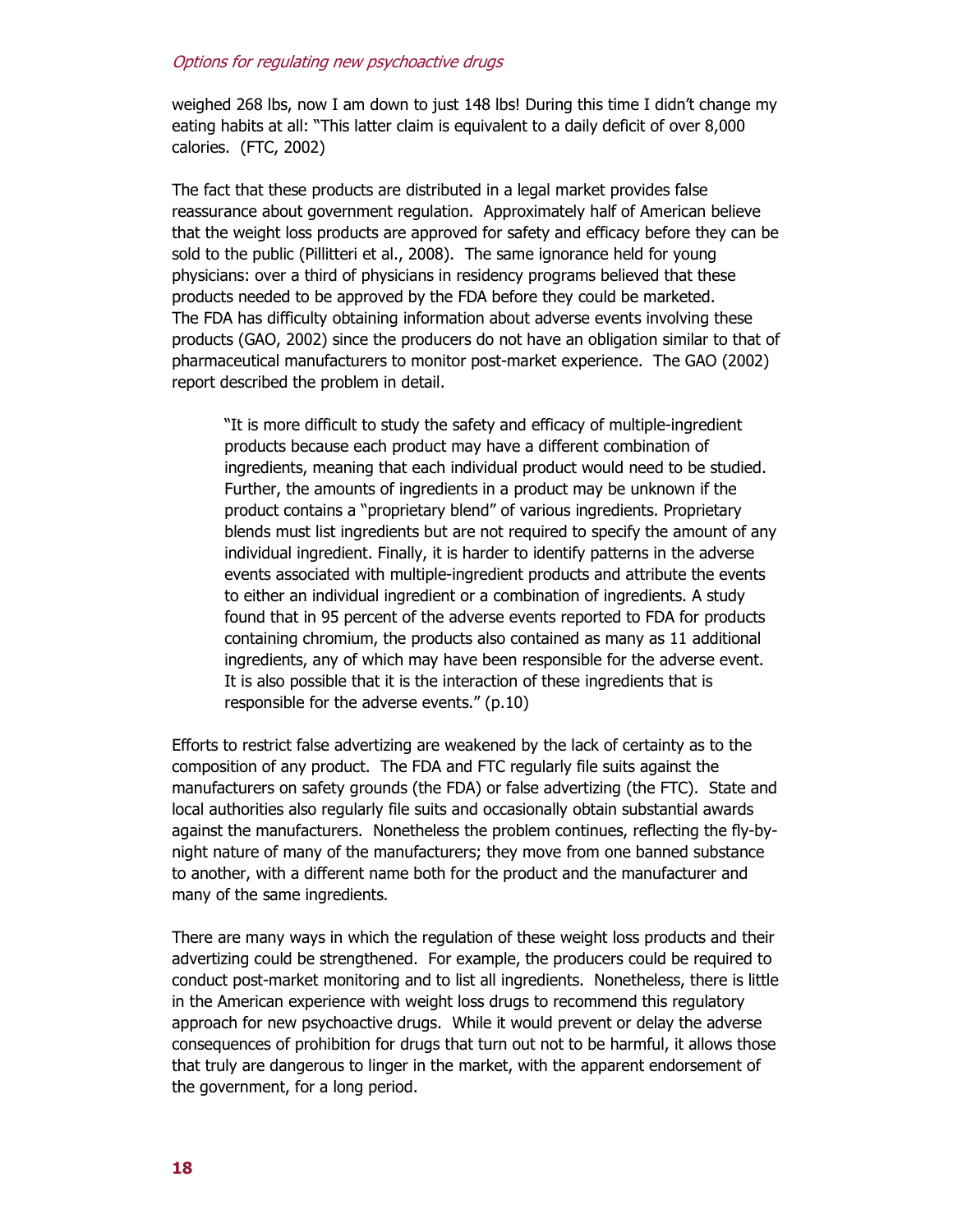weighed 268 lbs, now I am down to just 148 lbs! During this time I didn't change my eating habits at all: "This latter claim is equivalent to a daily deficit of over 8,000 calories. (FTC, 2002)

The fact that these products are distributed in a legal market provides false reassurance about government regulation. Approximately half of American believe that the weight loss products are approved for safety and efficacy before they can be sold to the public (Pillitteri et al., 2008). The same ignorance held for young physicians: over a third of physicians in residency programs believed that these products needed to be approved by the FDA before they could be marketed. The FDA has difficulty obtaining information about adverse events involving these products (GAO, 2002) since the producers do not have an obligation similar to that of pharmaceutical manufacturers to monitor post-market experience. The GAO (2002) report described the problem in detail.

"It is more difficult to study the safety and efficacy of multiple-ingredient products because each product may have a different combination of ingredients, meaning that each individual product would need to be studied. Further, the amounts of ingredients in a product may be unknown if the product contains a "proprietary blend" of various ingredients. Proprietary blends must list ingredients but are not required to specify the amount of any individual ingredient. Finally, it is harder to identify patterns in the adverse events associated with multiple-ingredient products and attribute the events to either an individual ingredient or a combination of ingredients. A study found that in 95 percent of the adverse events reported to FDA for products containing chromium, the products also contained as many as 11 additional ingredients, any of which may have been responsible for the adverse event. It is also possible that it is the interaction of these ingredients that is responsible for the adverse events." (p.10)

Efforts to restrict false advertizing are weakened by the lack of certainty as to the composition of any product. The FDA and FTC regularly file suits against the manufacturers on safety grounds (the FDA) or false advertizing (the FTC). State and local authorities also regularly file suits and occasionally obtain substantial awards against the manufacturers. Nonetheless the problem continues, reflecting the fly-bynight nature of many of the manufacturers; they move from one banned substance to another, with a different name both for the product and the manufacturer and many of the same ingredients.

There are many ways in which the regulation of these weight loss products and their advertizing could be strengthened. For example, the producers could be required to conduct post-market monitoring and to list all ingredients. Nonetheless, there is little in the American experience with weight loss drugs to recommend this regulatory approach for new psychoactive drugs. While it would prevent or delay the adverse consequences of prohibition for drugs that turn out not to be harmful, it allows those that truly are dangerous to linger in the market, with the apparent endorsement of the government, for a long period.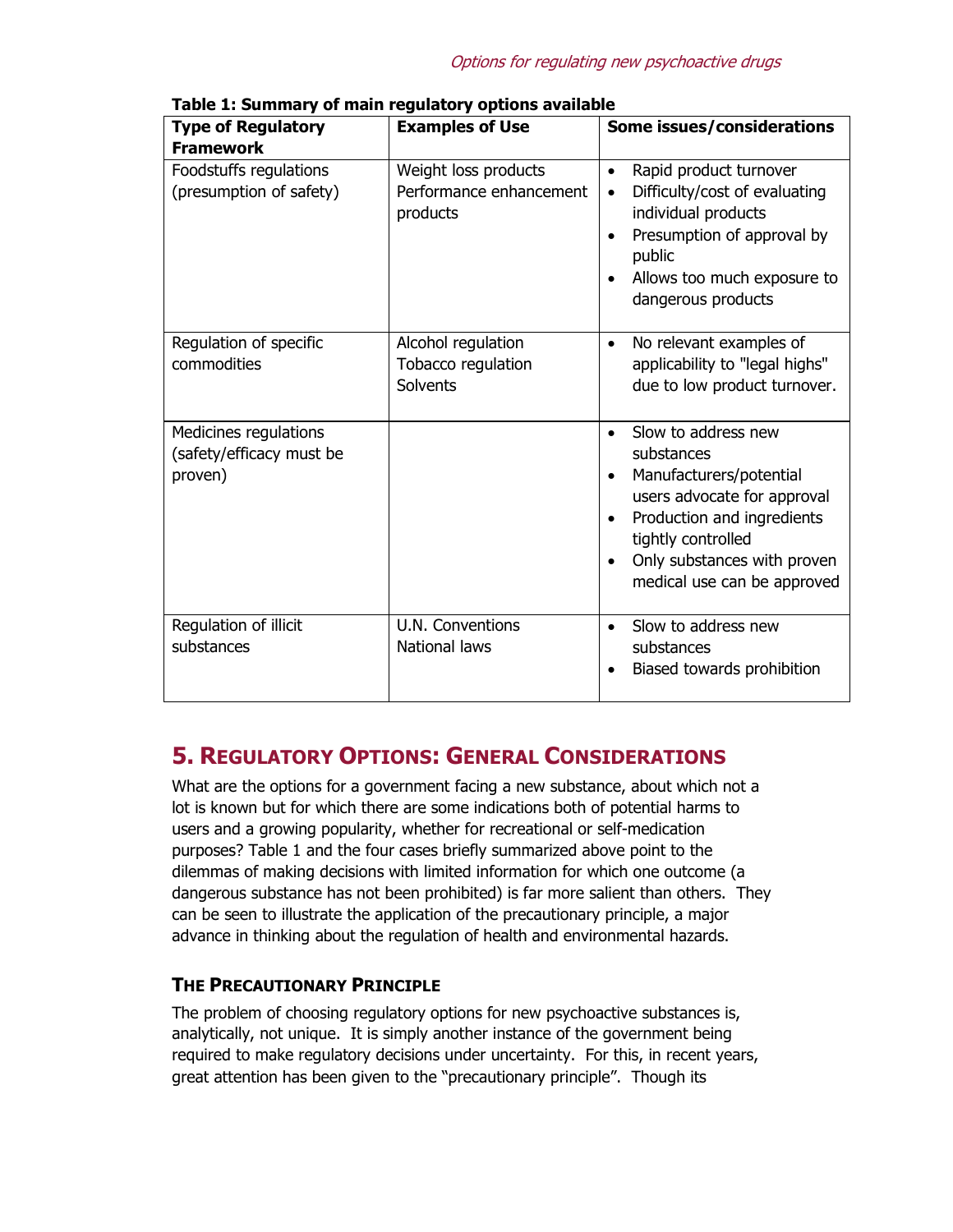| <b>Type of Regulatory</b><br><b>Framework</b>                | <b>Examples of Use</b>                                      | Some issues/considerations                                                                                                                                                                                                                                        |
|--------------------------------------------------------------|-------------------------------------------------------------|-------------------------------------------------------------------------------------------------------------------------------------------------------------------------------------------------------------------------------------------------------------------|
| Foodstuffs regulations<br>(presumption of safety)            | Weight loss products<br>Performance enhancement<br>products | Rapid product turnover<br>$\bullet$<br>Difficulty/cost of evaluating<br>$\bullet$<br>individual products<br>Presumption of approval by<br>$\bullet$<br>public<br>Allows too much exposure to<br>$\bullet$<br>dangerous products                                   |
| Regulation of specific<br>commodities                        | Alcohol regulation<br>Tobacco regulation<br>Solvents        | No relevant examples of<br>$\bullet$<br>applicability to "legal highs"<br>due to low product turnover.                                                                                                                                                            |
| Medicines regulations<br>(safety/efficacy must be<br>proven) |                                                             | Slow to address new<br>$\bullet$<br>substances<br>Manufacturers/potential<br>$\bullet$<br>users advocate for approval<br>Production and ingredients<br>$\bullet$<br>tightly controlled<br>Only substances with proven<br>$\bullet$<br>medical use can be approved |
| Regulation of illicit<br>substances                          | U.N. Conventions<br><b>National laws</b>                    | Slow to address new<br>$\bullet$<br>substances<br>Biased towards prohibition                                                                                                                                                                                      |

**Table 1: Summary of main regulatory options available** 

# **5. REGULATORY OPTIONS: GENERAL CONSIDERATIONS**

What are the options for a government facing a new substance, about which not a lot is known but for which there are some indications both of potential harms to users and a growing popularity, whether for recreational or self-medication purposes? Table 1 and the four cases briefly summarized above point to the dilemmas of making decisions with limited information for which one outcome (a dangerous substance has not been prohibited) is far more salient than others. They can be seen to illustrate the application of the precautionary principle, a major advance in thinking about the regulation of health and environmental hazards.

### **THE PRECAUTIONARY PRINCIPLE**

The problem of choosing regulatory options for new psychoactive substances is, analytically, not unique. It is simply another instance of the government being required to make regulatory decisions under uncertainty. For this, in recent years, great attention has been given to the "precautionary principle". Though its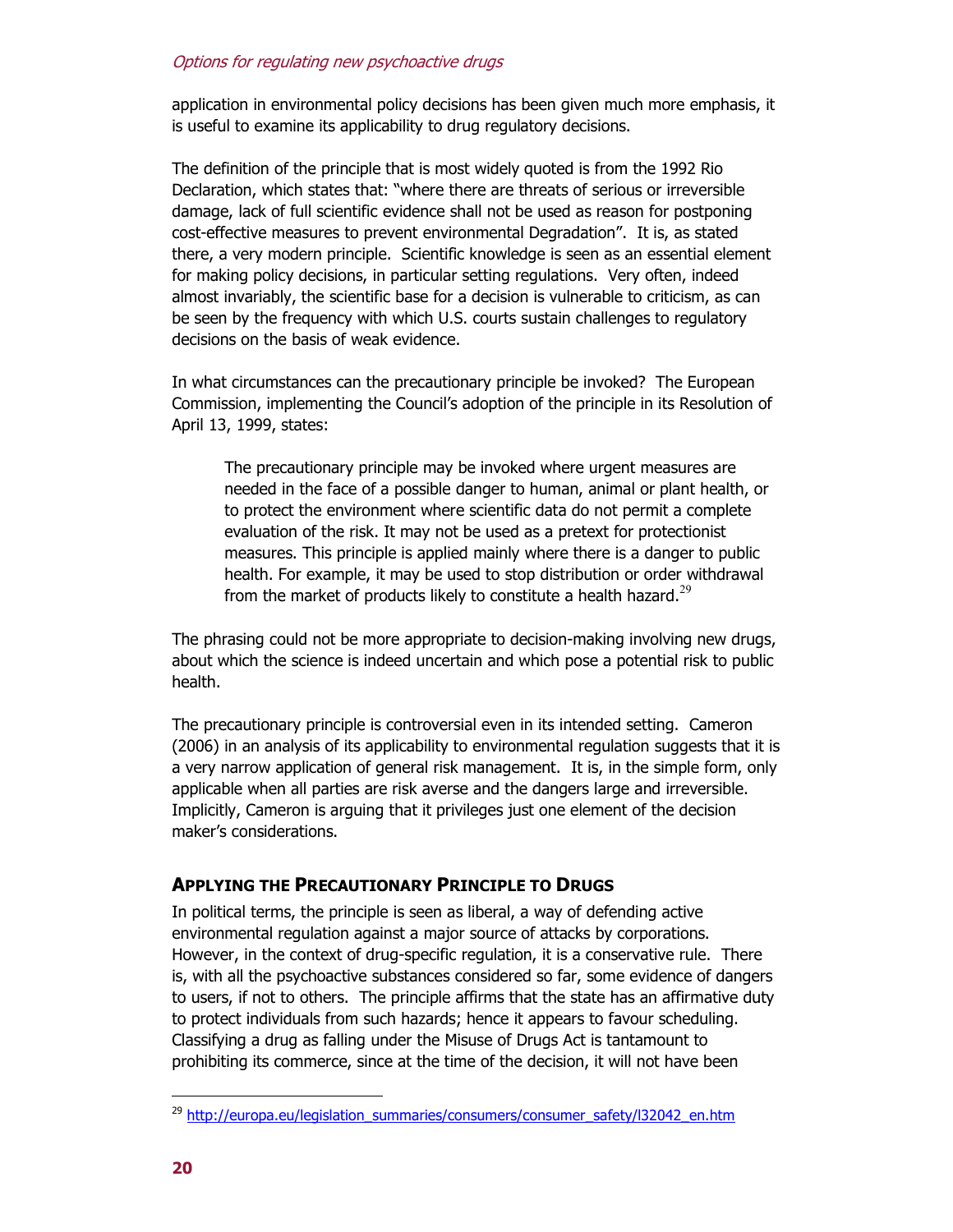application in environmental policy decisions has been given much more emphasis, it is useful to examine its applicability to drug regulatory decisions.

The definition of the principle that is most widely quoted is from the 1992 Rio Declaration, which states that: "where there are threats of serious or irreversible damage, lack of full scientific evidence shall not be used as reason for postponing cost-effective measures to prevent environmental Degradation". It is, as stated there, a very modern principle. Scientific knowledge is seen as an essential element for making policy decisions, in particular setting regulations. Very often, indeed almost invariably, the scientific base for a decision is vulnerable to criticism, as can be seen by the frequency with which U.S. courts sustain challenges to regulatory decisions on the basis of weak evidence.

In what circumstances can the precautionary principle be invoked? The European Commission, implementing the Council's adoption of the principle in its Resolution of April 13, 1999, states:

The precautionary principle may be invoked where urgent measures are needed in the face of a possible danger to human, animal or plant health, or to protect the environment where scientific data do not permit a complete evaluation of the risk. It may not be used as a pretext for protectionist measures. This principle is applied mainly where there is a danger to public health. For example, it may be used to stop distribution or order withdrawal from the market of products likely to constitute a health hazard. $^{29}$ 

The phrasing could not be more appropriate to decision-making involving new drugs, about which the science is indeed uncertain and which pose a potential risk to public health.

The precautionary principle is controversial even in its intended setting. Cameron (2006) in an analysis of its applicability to environmental regulation suggests that it is a very narrow application of general risk management. It is, in the simple form, only applicable when all parties are risk averse and the dangers large and irreversible. Implicitly, Cameron is arguing that it privileges just one element of the decision maker's considerations.

#### **APPLYING THE PRECAUTIONARY PRINCIPLE TO DRUGS**

In political terms, the principle is seen as liberal, a way of defending active environmental regulation against a major source of attacks by corporations. However, in the context of drug-specific regulation, it is a conservative rule. There is, with all the psychoactive substances considered so far, some evidence of dangers to users, if not to others. The principle affirms that the state has an affirmative duty to protect individuals from such hazards; hence it appears to favour scheduling. Classifying a drug as falling under the Misuse of Drugs Act is tantamount to prohibiting its commerce, since at the time of the decision, it will not have been

<sup>&</sup>lt;sup>29</sup> http://europa.eu/legislation\_summaries/consumers/consumer\_safety/l32042\_en.htm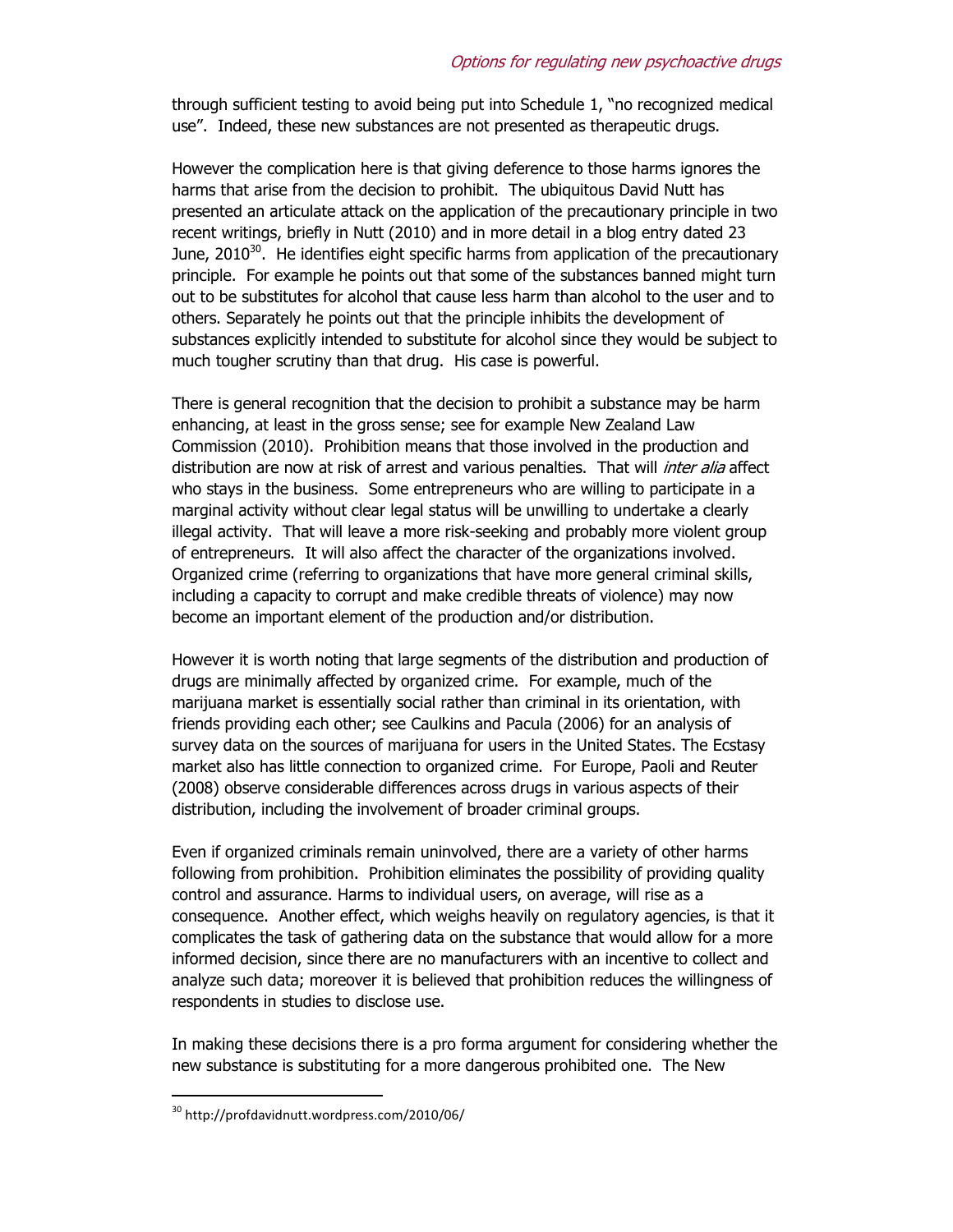through sufficient testing to avoid being put into Schedule 1, "no recognized medical use". Indeed, these new substances are not presented as therapeutic drugs.

However the complication here is that giving deference to those harms ignores the harms that arise from the decision to prohibit. The ubiquitous David Nutt has presented an articulate attack on the application of the precautionary principle in two recent writings, briefly in Nutt (2010) and in more detail in a blog entry dated 23 June,  $2010^{30}$ . He identifies eight specific harms from application of the precautionary principle. For example he points out that some of the substances banned might turn out to be substitutes for alcohol that cause less harm than alcohol to the user and to others. Separately he points out that the principle inhibits the development of substances explicitly intended to substitute for alcohol since they would be subject to much tougher scrutiny than that drug. His case is powerful.

There is general recognition that the decision to prohibit a substance may be harm enhancing, at least in the gross sense; see for example New Zealand Law Commission (2010). Prohibition means that those involved in the production and distribution are now at risk of arrest and various penalties. That will *inter alia* affect who stays in the business. Some entrepreneurs who are willing to participate in a marginal activity without clear legal status will be unwilling to undertake a clearly illegal activity. That will leave a more risk-seeking and probably more violent group of entrepreneurs. It will also affect the character of the organizations involved. Organized crime (referring to organizations that have more general criminal skills, including a capacity to corrupt and make credible threats of violence) may now become an important element of the production and/or distribution.

However it is worth noting that large segments of the distribution and production of drugs are minimally affected by organized crime. For example, much of the marijuana market is essentially social rather than criminal in its orientation, with friends providing each other; see Caulkins and Pacula (2006) for an analysis of survey data on the sources of marijuana for users in the United States. The Ecstasy market also has little connection to organized crime. For Europe, Paoli and Reuter (2008) observe considerable differences across drugs in various aspects of their distribution, including the involvement of broader criminal groups.

Even if organized criminals remain uninvolved, there are a variety of other harms following from prohibition. Prohibition eliminates the possibility of providing quality control and assurance. Harms to individual users, on average, will rise as a consequence. Another effect, which weighs heavily on regulatory agencies, is that it complicates the task of gathering data on the substance that would allow for a more informed decision, since there are no manufacturers with an incentive to collect and analyze such data; moreover it is believed that prohibition reduces the willingness of respondents in studies to disclose use.

In making these decisions there is a pro forma argument for considering whether the new substance is substituting for a more dangerous prohibited one. The New

<sup>30</sup> http://profdavidnutt.wordpress.com/2010/06/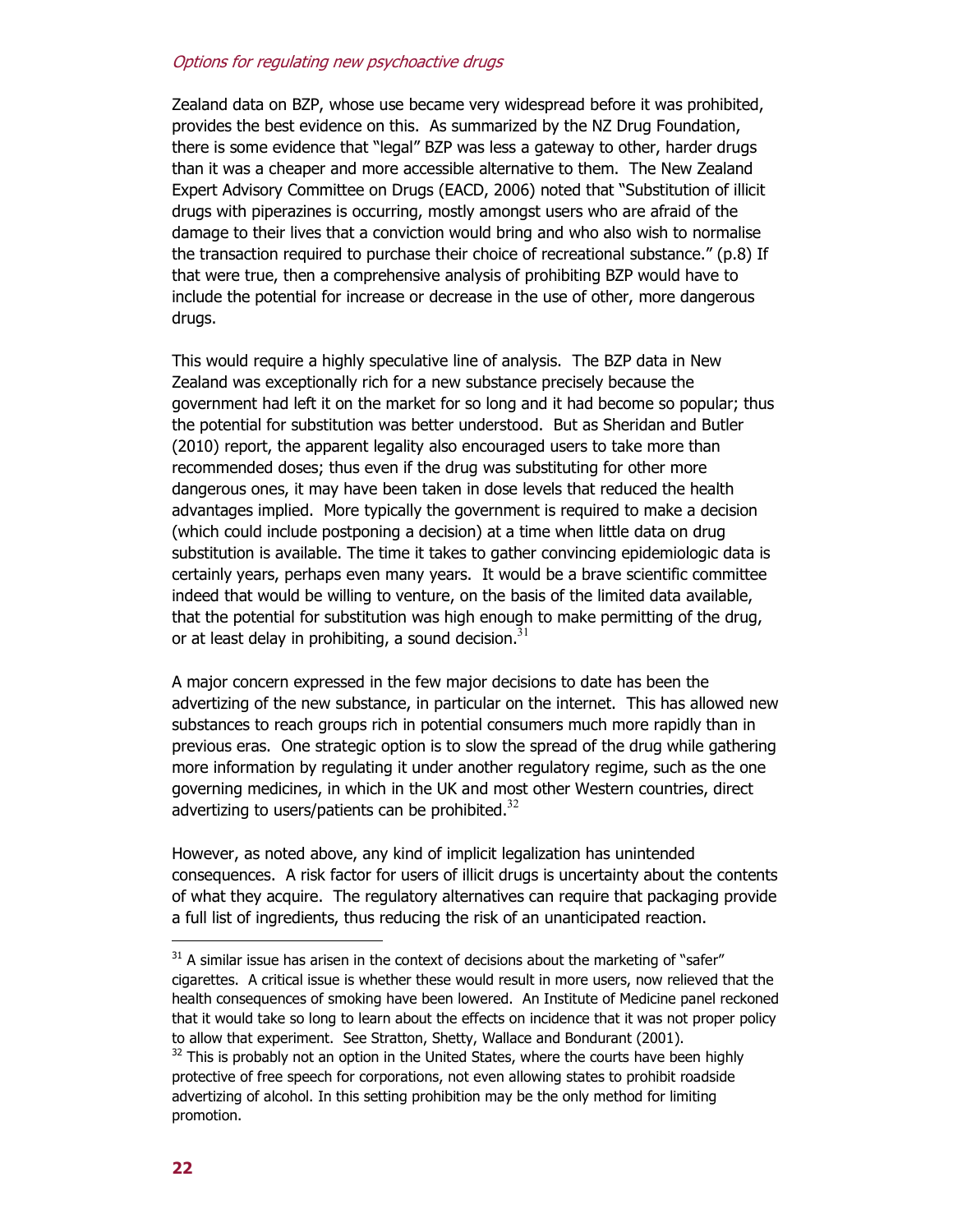Zealand data on BZP, whose use became very widespread before it was prohibited, provides the best evidence on this. As summarized by the NZ Drug Foundation, there is some evidence that "legal" BZP was less a gateway to other, harder drugs than it was a cheaper and more accessible alternative to them. The New Zealand Expert Advisory Committee on Drugs (EACD, 2006) noted that "Substitution of illicit drugs with piperazines is occurring, mostly amongst users who are afraid of the damage to their lives that a conviction would bring and who also wish to normalise the transaction required to purchase their choice of recreational substance." (p.8) If that were true, then a comprehensive analysis of prohibiting BZP would have to include the potential for increase or decrease in the use of other, more dangerous drugs.

This would require a highly speculative line of analysis. The BZP data in New Zealand was exceptionally rich for a new substance precisely because the government had left it on the market for so long and it had become so popular; thus the potential for substitution was better understood. But as Sheridan and Butler (2010) report, the apparent legality also encouraged users to take more than recommended doses; thus even if the drug was substituting for other more dangerous ones, it may have been taken in dose levels that reduced the health advantages implied. More typically the government is required to make a decision (which could include postponing a decision) at a time when little data on drug substitution is available. The time it takes to gather convincing epidemiologic data is certainly years, perhaps even many years. It would be a brave scientific committee indeed that would be willing to venture, on the basis of the limited data available, that the potential for substitution was high enough to make permitting of the drug, or at least delay in prohibiting, a sound decision.  $31$ 

A major concern expressed in the few major decisions to date has been the advertizing of the new substance, in particular on the internet. This has allowed new substances to reach groups rich in potential consumers much more rapidly than in previous eras. One strategic option is to slow the spread of the drug while gathering more information by regulating it under another regulatory regime, such as the one governing medicines, in which in the UK and most other Western countries, direct advertizing to users/patients can be prohibited.<sup>32</sup>

However, as noted above, any kind of implicit legalization has unintended consequences. A risk factor for users of illicit drugs is uncertainty about the contents of what they acquire. The regulatory alternatives can require that packaging provide a full list of ingredients, thus reducing the risk of an unanticipated reaction.

 $31$  A similar issue has arisen in the context of decisions about the marketing of "safer" cigarettes. A critical issue is whether these would result in more users, now relieved that the health consequences of smoking have been lowered. An Institute of Medicine panel reckoned that it would take so long to learn about the effects on incidence that it was not proper policy to allow that experiment. See Stratton, Shetty, Wallace and Bondurant (2001).  $32$  This is probably not an option in the United States, where the courts have been highly protective of free speech for corporations, not even allowing states to prohibit roadside

advertizing of alcohol. In this setting prohibition may be the only method for limiting promotion.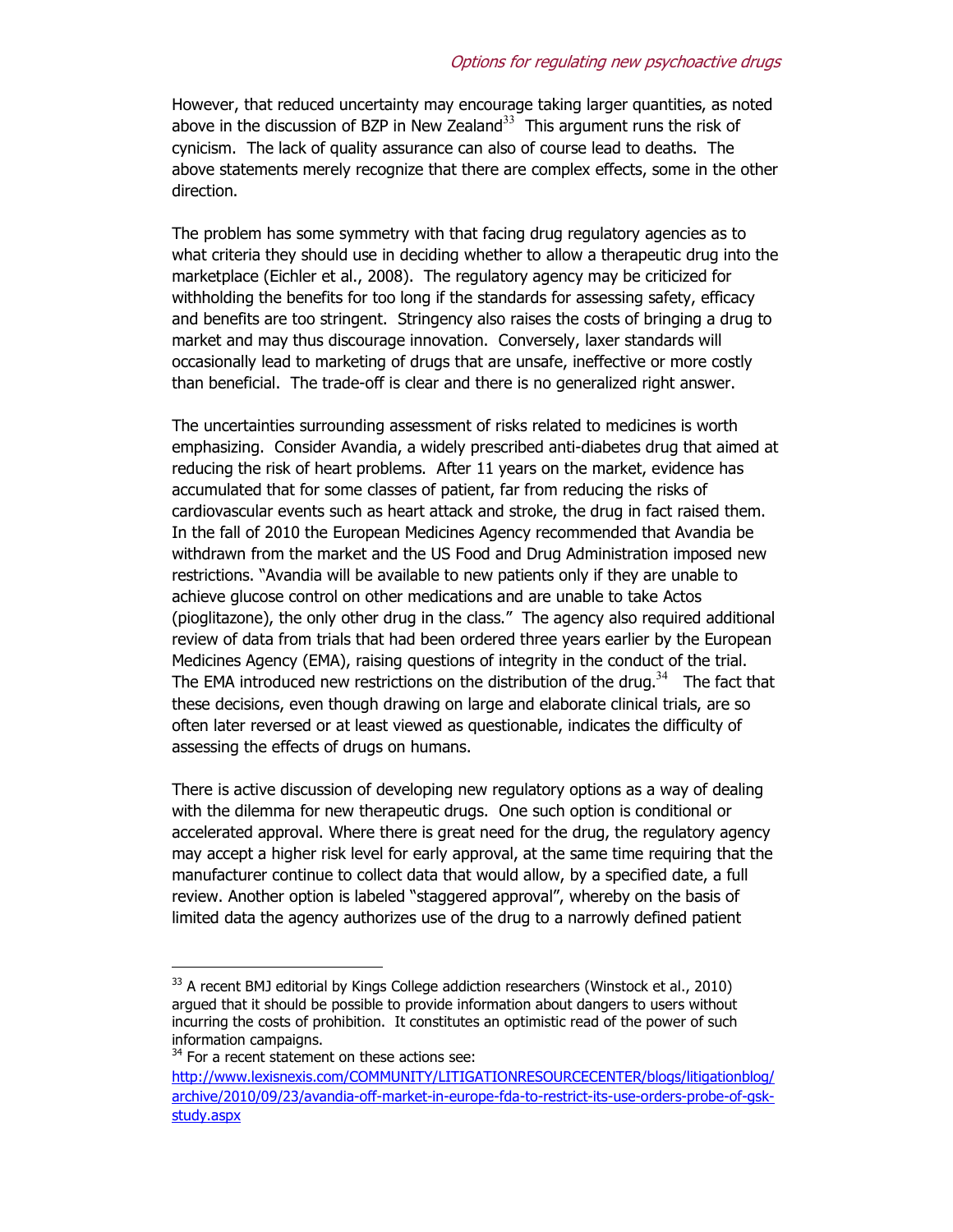However, that reduced uncertainty may encourage taking larger quantities, as noted above in the discussion of BZP in New Zealand<sup>33</sup> This argument runs the risk of cynicism. The lack of quality assurance can also of course lead to deaths. The above statements merely recognize that there are complex effects, some in the other direction.

The problem has some symmetry with that facing drug regulatory agencies as to what criteria they should use in deciding whether to allow a therapeutic drug into the marketplace (Eichler et al., 2008). The regulatory agency may be criticized for withholding the benefits for too long if the standards for assessing safety, efficacy and benefits are too stringent. Stringency also raises the costs of bringing a drug to market and may thus discourage innovation. Conversely, laxer standards will occasionally lead to marketing of drugs that are unsafe, ineffective or more costly than beneficial. The trade-off is clear and there is no generalized right answer.

The uncertainties surrounding assessment of risks related to medicines is worth emphasizing. Consider Avandia, a widely prescribed anti-diabetes drug that aimed at reducing the risk of heart problems. After 11 years on the market, evidence has accumulated that for some classes of patient, far from reducing the risks of cardiovascular events such as heart attack and stroke, the drug in fact raised them. In the fall of 2010 the European Medicines Agency recommended that Avandia be withdrawn from the market and the US Food and Drug Administration imposed new restrictions. "Avandia will be available to new patients only if they are unable to achieve glucose control on other medications and are unable to take Actos (pioglitazone), the only other drug in the class." The agency also required additional review of data from trials that had been ordered three years earlier by the European Medicines Agency (EMA), raising questions of integrity in the conduct of the trial. The EMA introduced new restrictions on the distribution of the drug.<sup>34</sup> The fact that these decisions, even though drawing on large and elaborate clinical trials, are so often later reversed or at least viewed as questionable, indicates the difficulty of assessing the effects of drugs on humans.

There is active discussion of developing new regulatory options as a way of dealing with the dilemma for new therapeutic drugs. One such option is conditional or accelerated approval. Where there is great need for the drug, the regulatory agency may accept a higher risk level for early approval, at the same time requiring that the manufacturer continue to collect data that would allow, by a specified date, a full review. Another option is labeled "staggered approval", whereby on the basis of limited data the agency authorizes use of the drug to a narrowly defined patient

 $33$  A recent BMJ editorial by Kings College addiction researchers (Winstock et al., 2010) argued that it should be possible to provide information about dangers to users without incurring the costs of prohibition. It constitutes an optimistic read of the power of such information campaigns.

 $34$  For a recent statement on these actions see:

http://www.lexisnexis.com/COMMUNITY/LITIGATIONRESOURCECENTER/blogs/litigationblog/ archive/2010/09/23/avandia-off-market-in-europe-fda-to-restrict-its-use-orders-probe-of-gskstudy.aspx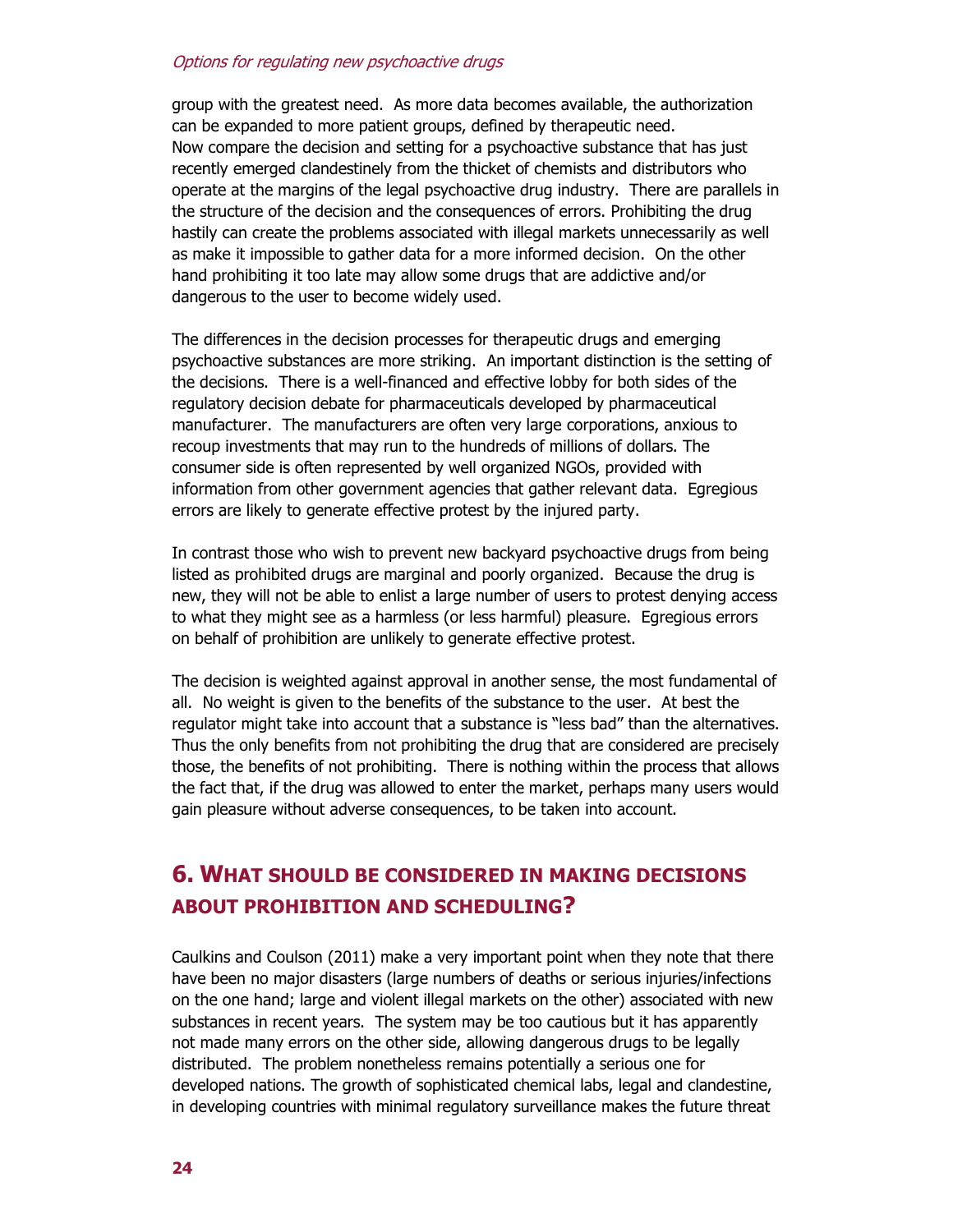group with the greatest need. As more data becomes available, the authorization can be expanded to more patient groups, defined by therapeutic need. Now compare the decision and setting for a psychoactive substance that has just recently emerged clandestinely from the thicket of chemists and distributors who operate at the margins of the legal psychoactive drug industry. There are parallels in the structure of the decision and the consequences of errors. Prohibiting the drug hastily can create the problems associated with illegal markets unnecessarily as well as make it impossible to gather data for a more informed decision. On the other hand prohibiting it too late may allow some drugs that are addictive and/or dangerous to the user to become widely used.

The differences in the decision processes for therapeutic drugs and emerging psychoactive substances are more striking. An important distinction is the setting of the decisions. There is a well-financed and effective lobby for both sides of the regulatory decision debate for pharmaceuticals developed by pharmaceutical manufacturer. The manufacturers are often very large corporations, anxious to recoup investments that may run to the hundreds of millions of dollars. The consumer side is often represented by well organized NGOs, provided with information from other government agencies that gather relevant data. Egregious errors are likely to generate effective protest by the injured party.

In contrast those who wish to prevent new backyard psychoactive drugs from being listed as prohibited drugs are marginal and poorly organized. Because the drug is new, they will not be able to enlist a large number of users to protest denying access to what they might see as a harmless (or less harmful) pleasure. Egregious errors on behalf of prohibition are unlikely to generate effective protest.

The decision is weighted against approval in another sense, the most fundamental of all. No weight is given to the benefits of the substance to the user. At best the regulator might take into account that a substance is "less bad" than the alternatives. Thus the only benefits from not prohibiting the drug that are considered are precisely those, the benefits of not prohibiting. There is nothing within the process that allows the fact that, if the drug was allowed to enter the market, perhaps many users would gain pleasure without adverse consequences, to be taken into account.

# **6. WHAT SHOULD BE CONSIDERED IN MAKING DECISIONS ABOUT PROHIBITION AND SCHEDULING?**

Caulkins and Coulson (2011) make a very important point when they note that there have been no major disasters (large numbers of deaths or serious injuries/infections on the one hand; large and violent illegal markets on the other) associated with new substances in recent years. The system may be too cautious but it has apparently not made many errors on the other side, allowing dangerous drugs to be legally distributed. The problem nonetheless remains potentially a serious one for developed nations. The growth of sophisticated chemical labs, legal and clandestine, in developing countries with minimal regulatory surveillance makes the future threat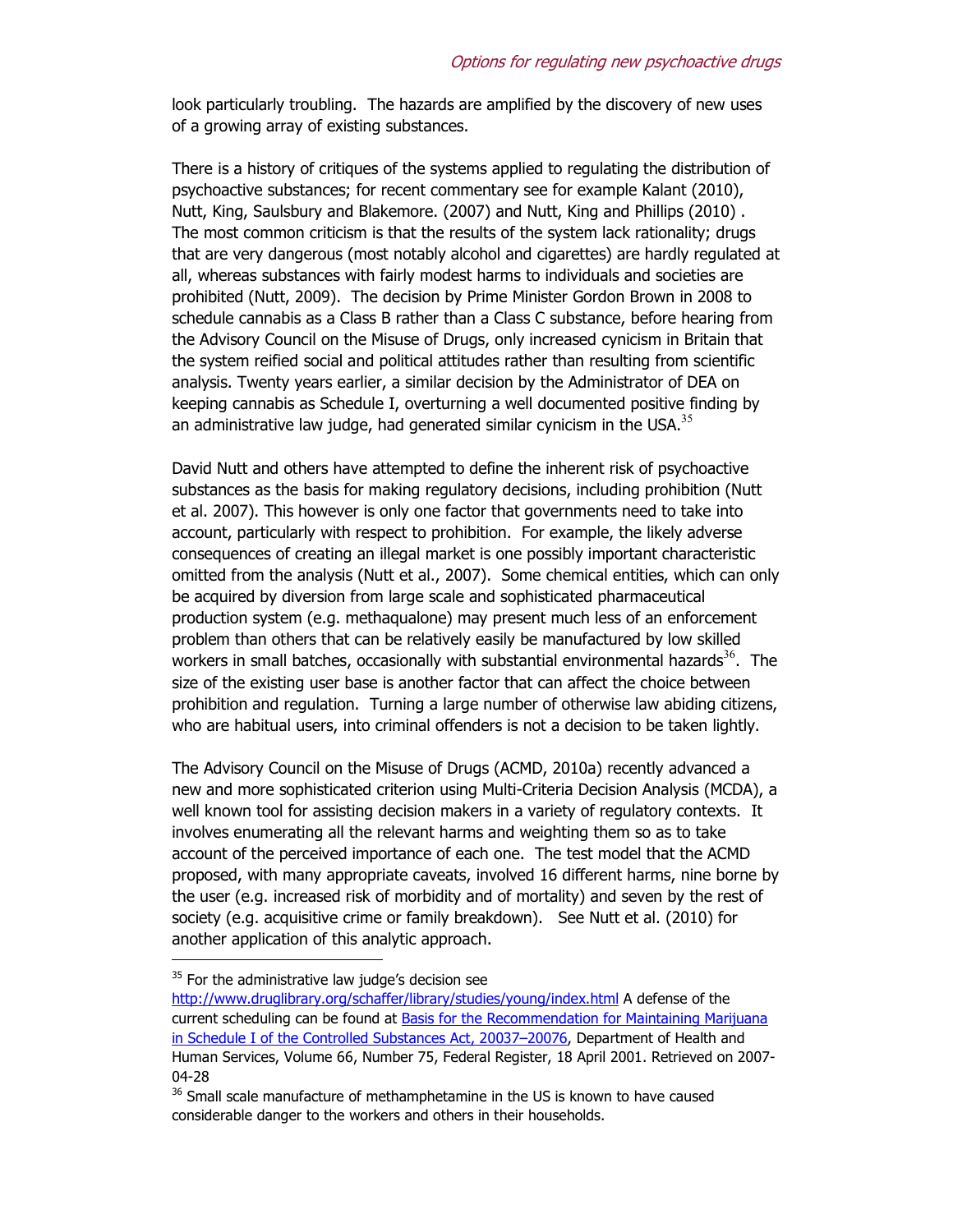look particularly troubling. The hazards are amplified by the discovery of new uses of a growing array of existing substances.

There is a history of critiques of the systems applied to regulating the distribution of psychoactive substances; for recent commentary see for example Kalant (2010), Nutt, King, Saulsbury and Blakemore. (2007) and Nutt, King and Phillips (2010) . The most common criticism is that the results of the system lack rationality; drugs that are very dangerous (most notably alcohol and cigarettes) are hardly regulated at all, whereas substances with fairly modest harms to individuals and societies are prohibited (Nutt, 2009). The decision by Prime Minister Gordon Brown in 2008 to schedule cannabis as a Class B rather than a Class C substance, before hearing from the Advisory Council on the Misuse of Drugs, only increased cynicism in Britain that the system reified social and political attitudes rather than resulting from scientific analysis. Twenty years earlier, a similar decision by the Administrator of DEA on keeping cannabis as Schedule I, overturning a well documented positive finding by an administrative law judge, had generated similar cynicism in the USA. $35$ 

David Nutt and others have attempted to define the inherent risk of psychoactive substances as the basis for making regulatory decisions, including prohibition (Nutt et al. 2007). This however is only one factor that governments need to take into account, particularly with respect to prohibition. For example, the likely adverse consequences of creating an illegal market is one possibly important characteristic omitted from the analysis (Nutt et al., 2007). Some chemical entities, which can only be acquired by diversion from large scale and sophisticated pharmaceutical production system (e.g. methaqualone) may present much less of an enforcement problem than others that can be relatively easily be manufactured by low skilled workers in small batches, occasionally with substantial environmental hazards<sup>36</sup>. The size of the existing user base is another factor that can affect the choice between prohibition and regulation. Turning a large number of otherwise law abiding citizens, who are habitual users, into criminal offenders is not a decision to be taken lightly.

The Advisory Council on the Misuse of Drugs (ACMD, 2010a) recently advanced a new and more sophisticated criterion using Multi-Criteria Decision Analysis (MCDA), a well known tool for assisting decision makers in a variety of regulatory contexts. It involves enumerating all the relevant harms and weighting them so as to take account of the perceived importance of each one. The test model that the ACMD proposed, with many appropriate caveats, involved 16 different harms, nine borne by the user (e.g. increased risk of morbidity and of mortality) and seven by the rest of society (e.g. acquisitive crime or family breakdown). See Nutt et al. (2010) for another application of this analytic approach.

 $35$  For the administrative law judge's decision see

http://www.druglibrary.org/schaffer/library/studies/young/index.html A defense of the current scheduling can be found at Basis for the Recommendation for Maintaining Marijuana in Schedule I of the Controlled Substances Act, 20037–20076, Department of Health and Human Services, Volume 66, Number 75, Federal Register, 18 April 2001. Retrieved on 2007- 04-28

<sup>&</sup>lt;sup>36</sup> Small scale manufacture of methamphetamine in the US is known to have caused considerable danger to the workers and others in their households.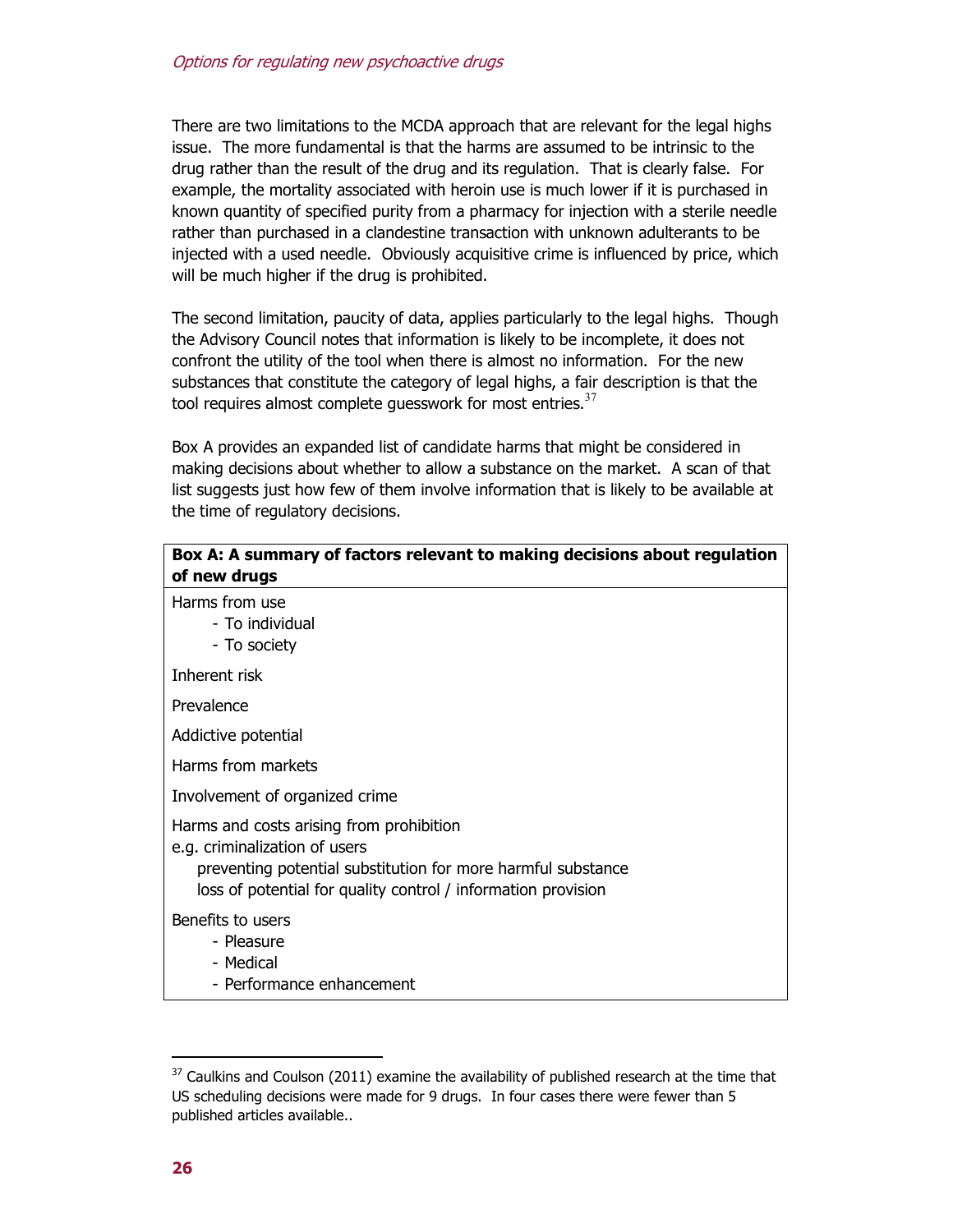There are two limitations to the MCDA approach that are relevant for the legal highs issue. The more fundamental is that the harms are assumed to be intrinsic to the drug rather than the result of the drug and its regulation. That is clearly false. For example, the mortality associated with heroin use is much lower if it is purchased in known quantity of specified purity from a pharmacy for injection with a sterile needle rather than purchased in a clandestine transaction with unknown adulterants to be injected with a used needle. Obviously acquisitive crime is influenced by price, which will be much higher if the drug is prohibited.

The second limitation, paucity of data, applies particularly to the legal highs. Though the Advisory Council notes that information is likely to be incomplete, it does not confront the utility of the tool when there is almost no information. For the new substances that constitute the category of legal highs, a fair description is that the tool requires almost complete guesswork for most entries. $37$ 

Box A provides an expanded list of candidate harms that might be considered in making decisions about whether to allow a substance on the market. A scan of that list suggests just how few of them involve information that is likely to be available at the time of regulatory decisions.

| Box A: A summary of factors relevant to making decisions about regulation<br>of new drugs                                                                                                                  |  |  |
|------------------------------------------------------------------------------------------------------------------------------------------------------------------------------------------------------------|--|--|
| Harms from use<br>- To individual<br>- To society                                                                                                                                                          |  |  |
| Inherent risk                                                                                                                                                                                              |  |  |
| Prevalence                                                                                                                                                                                                 |  |  |
| Addictive potential                                                                                                                                                                                        |  |  |
| Harms from markets                                                                                                                                                                                         |  |  |
| Involvement of organized crime                                                                                                                                                                             |  |  |
| Harms and costs arising from prohibition<br>e.g. criminalization of users<br>preventing potential substitution for more harmful substance<br>loss of potential for quality control / information provision |  |  |
| Benefits to users<br>- Pleasure<br>- Medical<br>- Performance enhancement                                                                                                                                  |  |  |

 $37$  Caulkins and Coulson (2011) examine the availability of published research at the time that US scheduling decisions were made for 9 drugs. In four cases there were fewer than 5 published articles available..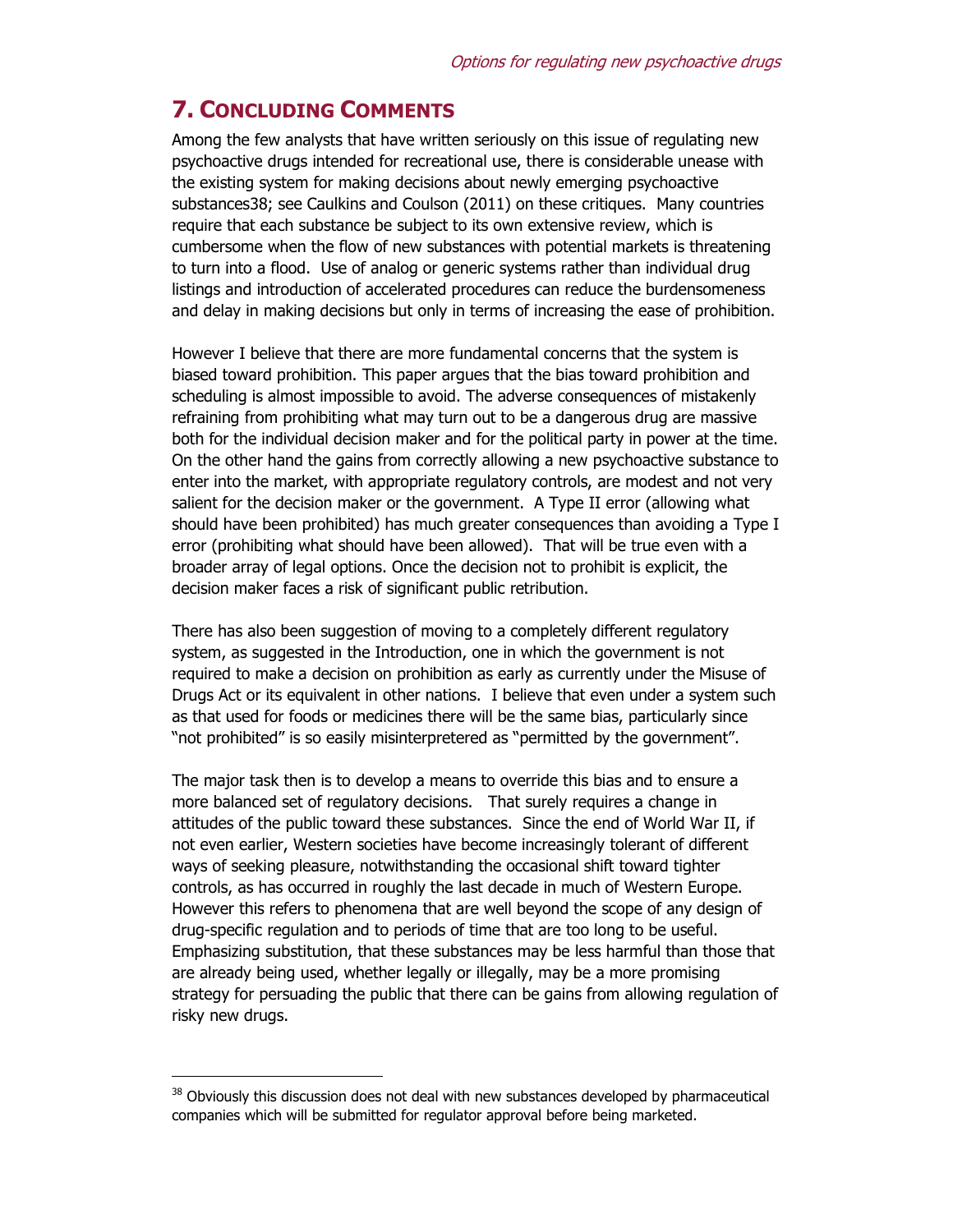# **7. CONCLUDING COMMENTS**

Among the few analysts that have written seriously on this issue of regulating new psychoactive drugs intended for recreational use, there is considerable unease with the existing system for making decisions about newly emerging psychoactive substances38; see Caulkins and Coulson (2011) on these critiques. Many countries require that each substance be subject to its own extensive review, which is cumbersome when the flow of new substances with potential markets is threatening to turn into a flood. Use of analog or generic systems rather than individual drug listings and introduction of accelerated procedures can reduce the burdensomeness and delay in making decisions but only in terms of increasing the ease of prohibition.

However I believe that there are more fundamental concerns that the system is biased toward prohibition. This paper argues that the bias toward prohibition and scheduling is almost impossible to avoid. The adverse consequences of mistakenly refraining from prohibiting what may turn out to be a dangerous drug are massive both for the individual decision maker and for the political party in power at the time. On the other hand the gains from correctly allowing a new psychoactive substance to enter into the market, with appropriate regulatory controls, are modest and not very salient for the decision maker or the government. A Type II error (allowing what should have been prohibited) has much greater consequences than avoiding a Type I error (prohibiting what should have been allowed). That will be true even with a broader array of legal options. Once the decision not to prohibit is explicit, the decision maker faces a risk of significant public retribution.

There has also been suggestion of moving to a completely different regulatory system, as suggested in the Introduction, one in which the government is not required to make a decision on prohibition as early as currently under the Misuse of Drugs Act or its equivalent in other nations. I believe that even under a system such as that used for foods or medicines there will be the same bias, particularly since "not prohibited" is so easily misinterpretered as "permitted by the government".

The major task then is to develop a means to override this bias and to ensure a more balanced set of regulatory decisions. That surely requires a change in attitudes of the public toward these substances. Since the end of World War II, if not even earlier, Western societies have become increasingly tolerant of different ways of seeking pleasure, notwithstanding the occasional shift toward tighter controls, as has occurred in roughly the last decade in much of Western Europe. However this refers to phenomena that are well beyond the scope of any design of drug-specific regulation and to periods of time that are too long to be useful. Emphasizing substitution, that these substances may be less harmful than those that are already being used, whether legally or illegally, may be a more promising strategy for persuading the public that there can be gains from allowing regulation of risky new drugs.

<sup>&</sup>lt;sup>38</sup> Obviously this discussion does not deal with new substances developed by pharmaceutical companies which will be submitted for regulator approval before being marketed.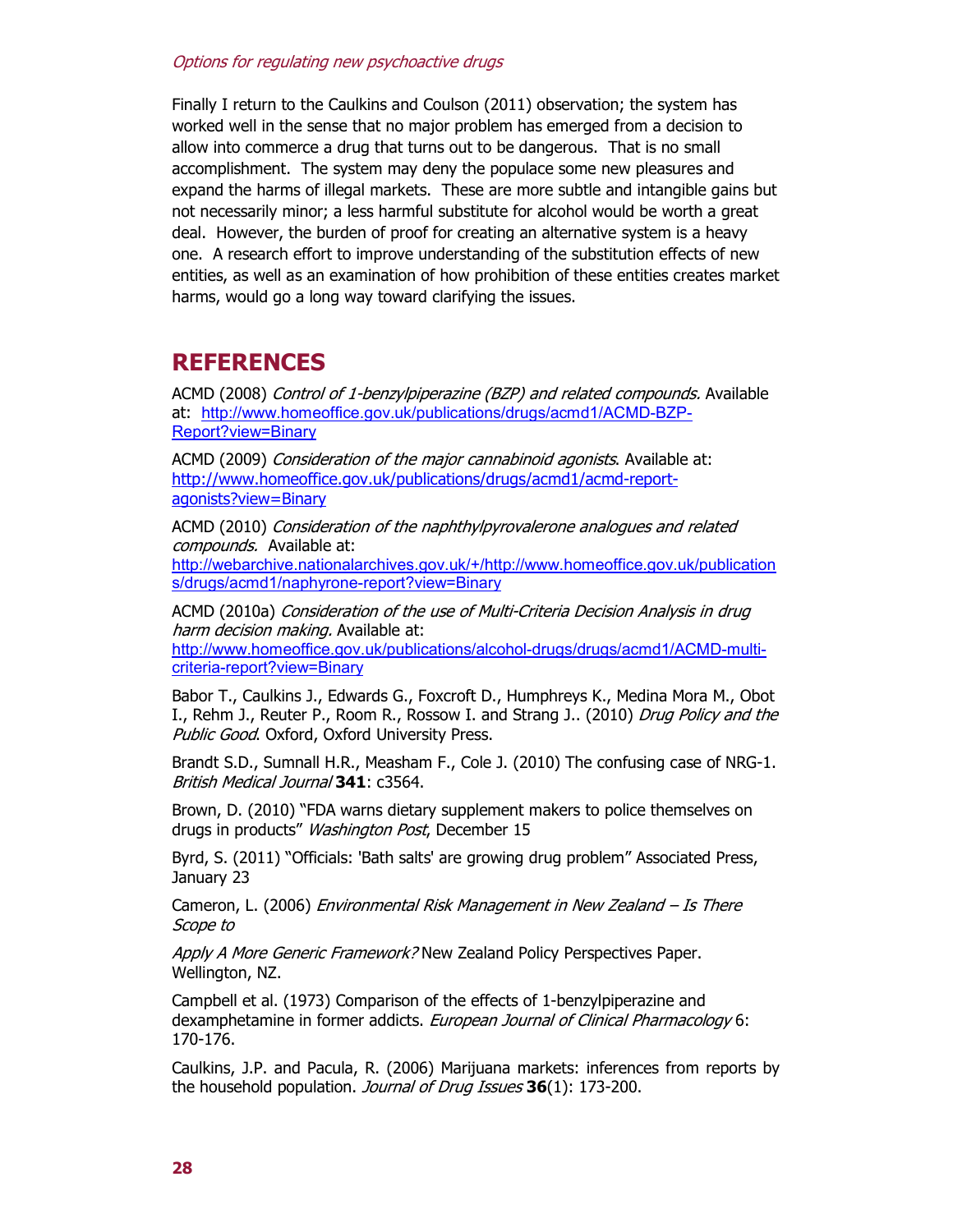Finally I return to the Caulkins and Coulson (2011) observation; the system has worked well in the sense that no major problem has emerged from a decision to allow into commerce a drug that turns out to be dangerous. That is no small accomplishment. The system may deny the populace some new pleasures and expand the harms of illegal markets. These are more subtle and intangible gains but not necessarily minor; a less harmful substitute for alcohol would be worth a great deal. However, the burden of proof for creating an alternative system is a heavy one. A research effort to improve understanding of the substitution effects of new entities, as well as an examination of how prohibition of these entities creates market harms, would go a long way toward clarifying the issues.

# **REFERENCES**

ACMD (2008) Control of 1-benzylpiperazine (BZP) and related compounds. Available at: http://www.homeoffice.gov.uk/publications/drugs/acmd1/ACMD-BZP-Report?view=Binary

ACMD (2009) Consideration of the major cannabinoid agonists. Available at: http://www.homeoffice.gov.uk/publications/drugs/acmd1/acmd-reportagonists?view=Binary

ACMD (2010) Consideration of the naphthylpyrovalerone analogues and related compounds. Available at: http://webarchive.nationalarchives.gov.uk/+/http://www.homeoffice.gov.uk/publication

s/drugs/acmd1/naphyrone-report?view=Binary

ACMD (2010a) Consideration of the use of Multi-Criteria Decision Analysis in drug harm decision making. Available at:

http://www.homeoffice.gov.uk/publications/alcohol-drugs/drugs/acmd1/ACMD-multicriteria-report?view=Binary

Babor T., Caulkins J., Edwards G., Foxcroft D., Humphreys K., Medina Mora M., Obot I., Rehm J., Reuter P., Room R., Rossow I. and Strang J.. (2010) Drug Policy and the Public Good. Oxford, Oxford University Press.

Brandt S.D., Sumnall H.R., Measham F., Cole J. (2010) The confusing case of NRG-1. British Medical Journal **341**: c3564.

Brown, D. (2010) "FDA warns dietary supplement makers to police themselves on drugs in products" Washington Post, December 15

Byrd, S. (2011) "Officials: 'Bath salts' are growing drug problem" Associated Press, January 23

Cameron, L. (2006) Environmental Risk Management in New Zealand - Is There Scope to

Apply A More Generic Framework? New Zealand Policy Perspectives Paper. Wellington, NZ.

Campbell et al. (1973) Comparison of the effects of 1-benzylpiperazine and dexamphetamine in former addicts. European Journal of Clinical Pharmacology 6: 170-176.

Caulkins, J.P. and Pacula, R. (2006) Marijuana markets: inferences from reports by the household population. Journal of Drug Issues **36**(1): 173-200.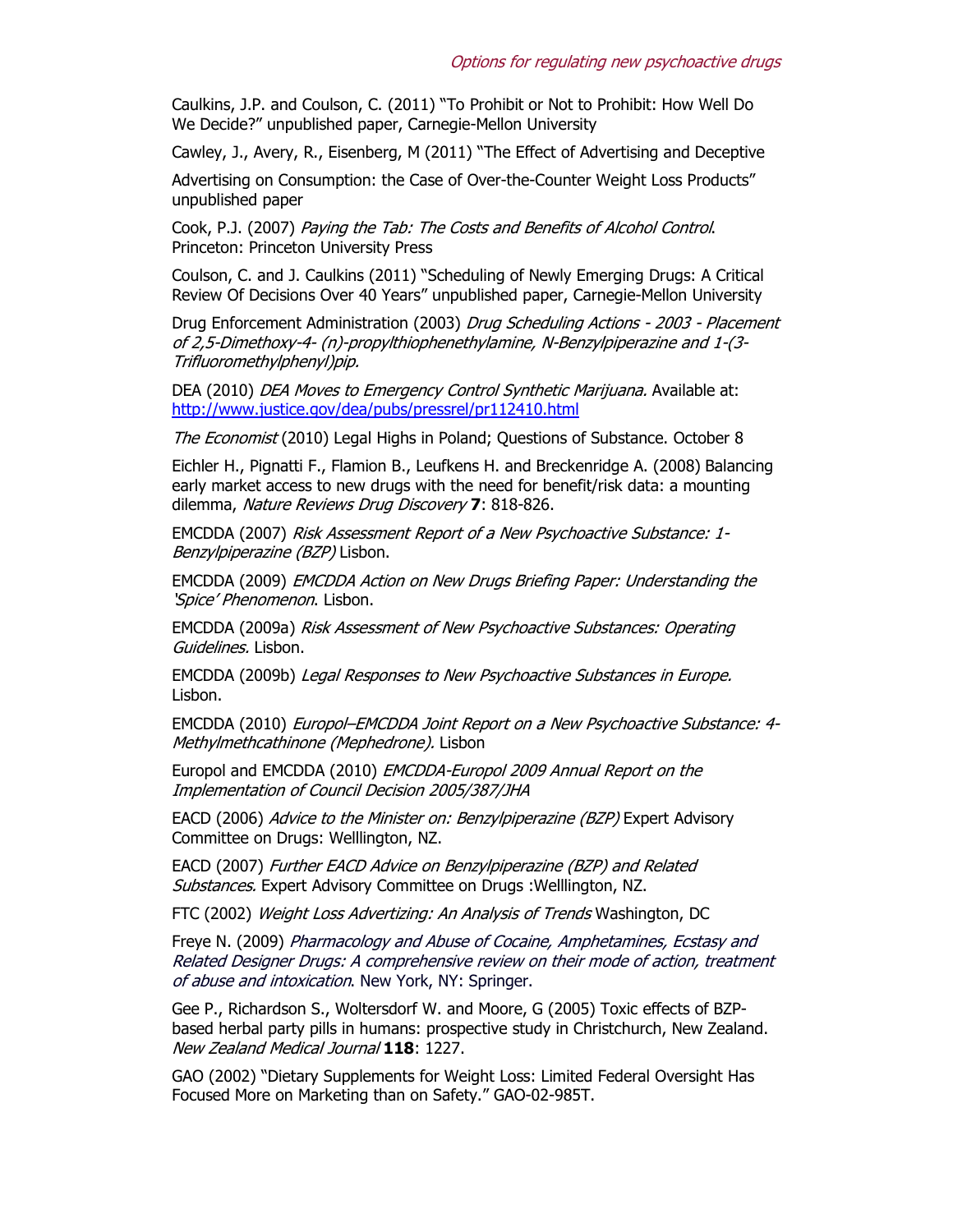Caulkins, J.P. and Coulson, C. (2011) "To Prohibit or Not to Prohibit: How Well Do We Decide?" unpublished paper, Carnegie-Mellon University

Cawley, J., Avery, R., Eisenberg, M (2011) "The Effect of Advertising and Deceptive

Advertising on Consumption: the Case of Over-the-Counter Weight Loss Products" unpublished paper

Cook, P.J. (2007) Paying the Tab: The Costs and Benefits of Alcohol Control. Princeton: Princeton University Press

Coulson, C. and J. Caulkins (2011) "Scheduling of Newly Emerging Drugs: A Critical Review Of Decisions Over 40 Years" unpublished paper, Carnegie-Mellon University

Drug Enforcement Administration (2003) Drug Scheduling Actions - 2003 - Placement of 2,5-Dimethoxy-4- (n)-propylthiophenethylamine, N-Benzylpiperazine and 1-(3- Trifluoromethylphenyl)pip.

DEA (2010) *DEA Moves to Emergency Control Synthetic Marijuana.* Available at: http://www.justice.gov/dea/pubs/pressrel/pr112410.html

The Economist (2010) Legal Highs in Poland; Questions of Substance. October 8

Eichler H., Pignatti F., Flamion B., Leufkens H. and Breckenridge A. (2008) Balancing early market access to new drugs with the need for benefit/risk data: a mounting dilemma, Nature Reviews Drug Discovery **7**: 818-826.

EMCDDA (2007) Risk Assessment Report of a New Psychoactive Substance: 1- Benzylpiperazine (BZP) Lisbon.

EMCDDA (2009) EMCDDA Action on New Drugs Briefing Paper: Understanding the 'Spice' Phenomenon. Lisbon.

EMCDDA (2009a) Risk Assessment of New Psychoactive Substances: Operating Guidelines. Lisbon.

EMCDDA (2009b) Legal Responses to New Psychoactive Substances in Europe. Lisbon.

EMCDDA (2010) Europol–EMCDDA Joint Report on a New Psychoactive Substance: 4- Methylmethcathinone (Mephedrone). Lisbon

Europol and EMCDDA (2010) EMCDDA-Europol 2009 Annual Report on the Implementation of Council Decision 2005/387/JHA

EACD (2006) Advice to the Minister on: Benzylpiperazine (BZP) Expert Advisory Committee on Drugs: Welllington, NZ.

EACD (2007) Further EACD Advice on Benzylpiperazine (BZP) and Related Substances. Expert Advisory Committee on Drugs :Welllington, NZ.

FTC (2002) Weight Loss Advertizing: An Analysis of Trends Washington, DC

Freye N. (2009) Pharmacology and Abuse of Cocaine, Amphetamines, Ecstasy and Related Designer Drugs: A comprehensive review on their mode of action, treatment of abuse and intoxication. New York, NY: Springer.

Gee P., Richardson S., Woltersdorf W. and Moore, G (2005) Toxic effects of BZPbased herbal party pills in humans: prospective study in Christchurch, New Zealand. New Zealand Medical Journal **118**: 1227.

GAO (2002) "Dietary Supplements for Weight Loss: Limited Federal Oversight Has Focused More on Marketing than on Safety." GAO-02-985T.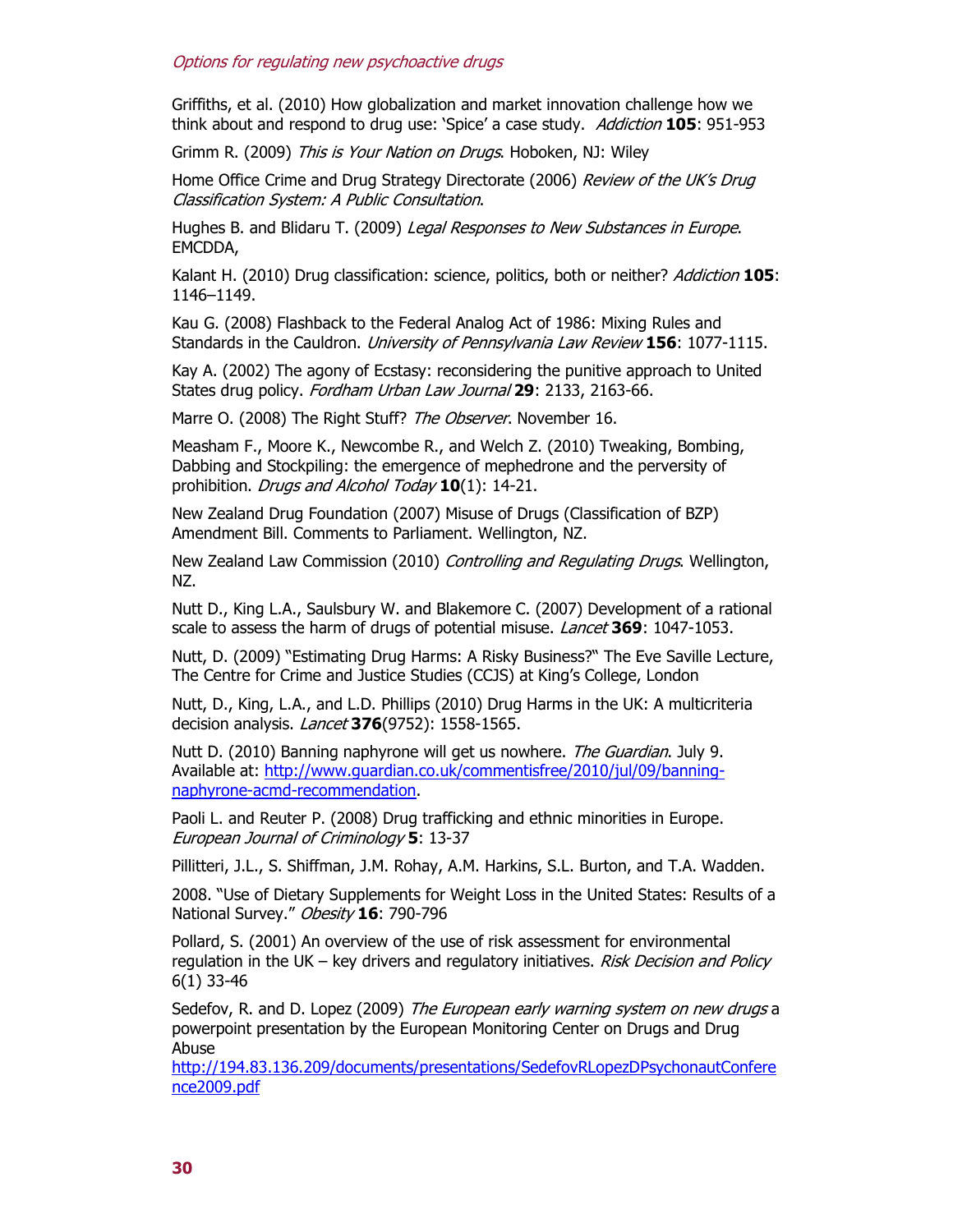Griffiths, et al. (2010) How globalization and market innovation challenge how we think about and respond to drug use: 'Spice' a case study. Addiction **105**: 951-953

Grimm R. (2009) This is Your Nation on Drugs. Hoboken, NJ: Wiley

Home Office Crime and Drug Strategy Directorate (2006) Review of the UK's Drug Classification System: A Public Consultation.

Hughes B. and Blidaru T. (2009) Legal Responses to New Substances in Europe. EMCDDA,

Kalant H. (2010) Drug classification: science, politics, both or neither? Addiction **105**: 1146–1149.

Kau G. (2008) Flashback to the Federal Analog Act of 1986: Mixing Rules and Standards in the Cauldron. University of Pennsylvania Law Review **156**: 1077-1115.

Kay A. (2002) The agony of Ecstasy: reconsidering the punitive approach to United States drug policy. Fordham Urban Law Journal **29**: 2133, 2163-66.

Marre O. (2008) The Right Stuff? The Observer. November 16.

Measham F., Moore K., Newcombe R., and Welch Z. (2010) Tweaking, Bombing, Dabbing and Stockpiling: the emergence of mephedrone and the perversity of prohibition. Drugs and Alcohol Today **10**(1): 14-21.

New Zealand Drug Foundation (2007) Misuse of Drugs (Classification of BZP) Amendment Bill. Comments to Parliament. Wellington, NZ.

New Zealand Law Commission (2010) *Controlling and Regulating Drugs*. Wellington, NZ.

Nutt D., King L.A., Saulsbury W. and Blakemore C. (2007) Development of a rational scale to assess the harm of drugs of potential misuse. Lancet **369**: 1047-1053.

Nutt, D. (2009) "Estimating Drug Harms: A Risky Business?" The Eve Saville Lecture, The Centre for Crime and Justice Studies (CCJS) at King's College, London

Nutt, D., King, L.A., and L.D. Phillips (2010) Drug Harms in the UK: A multicriteria decision analysis. Lancet **376**(9752): 1558-1565.

Nutt D. (2010) Banning naphyrone will get us nowhere. The Guardian. July 9. Available at: http://www.guardian.co.uk/commentisfree/2010/jul/09/banningnaphyrone-acmd-recommendation.

Paoli L. and Reuter P. (2008) Drug trafficking and ethnic minorities in Europe. European Journal of Criminology **5**: 13-37

Pillitteri, J.L., S. Shiffman, J.M. Rohay, A.M. Harkins, S.L. Burton, and T.A. Wadden.

2008. "Use of Dietary Supplements for Weight Loss in the United States: Results of a National Survey." Obesity **16**: 790-796

Pollard, S. (2001) An overview of the use of risk assessment for environmental regulation in the UK – key drivers and regulatory initiatives. Risk Decision and Policy 6(1) 33-46

Sedefov, R. and D. Lopez (2009) The European early warning system on new drugs a powerpoint presentation by the European Monitoring Center on Drugs and Drug Abuse

http://194.83.136.209/documents/presentations/SedefovRLopezDPsychonautConfere nce2009.pdf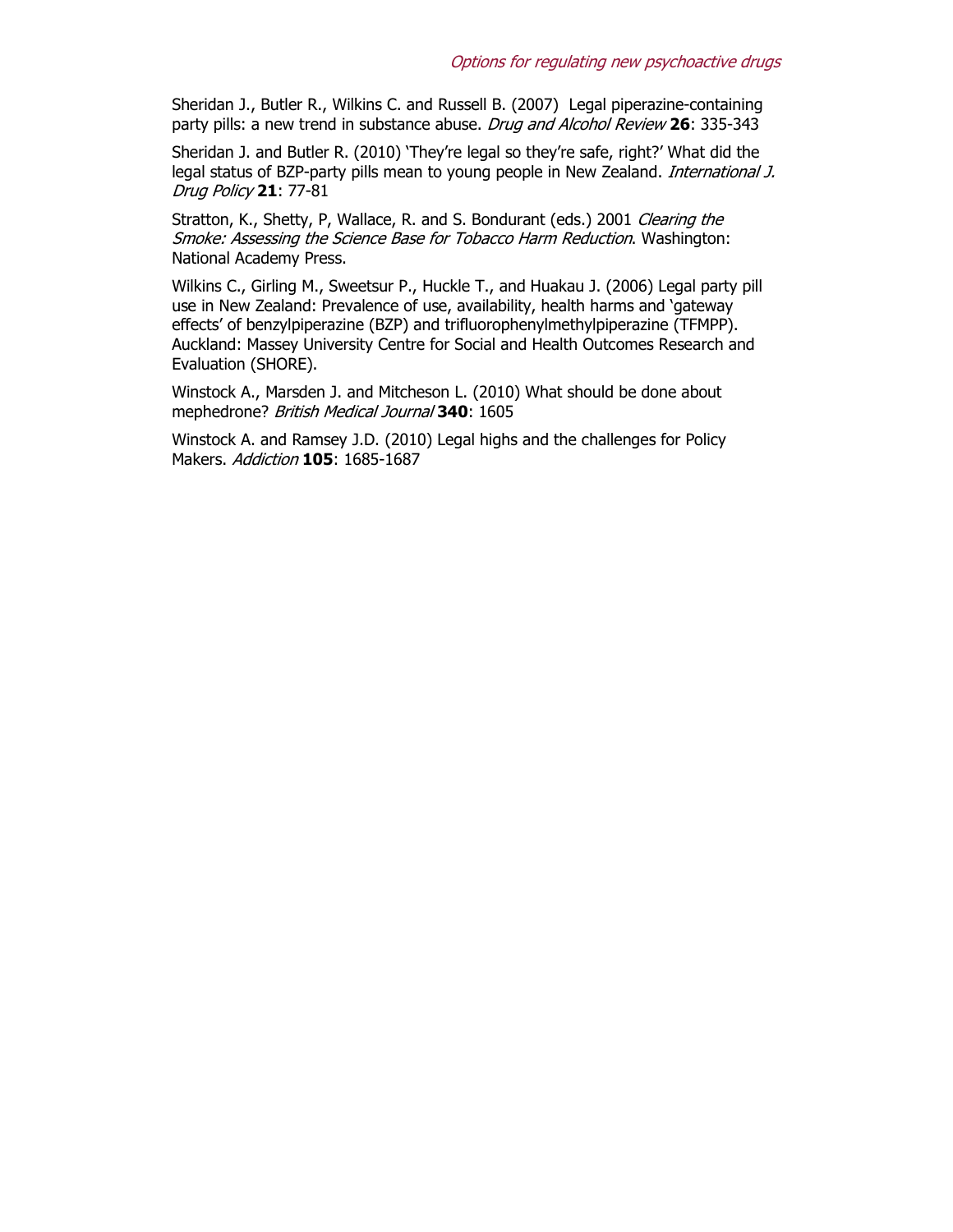Sheridan J., Butler R., Wilkins C. and Russell B. (2007) Legal piperazine-containing party pills: a new trend in substance abuse. Drug and Alcohol Review **26**: 335-343

Sheridan J. and Butler R. (2010) 'They're legal so they're safe, right?' What did the legal status of BZP-party pills mean to young people in New Zealand. International J. Drug Policy **21**: 77-81

Stratton, K., Shetty, P, Wallace, R. and S. Bondurant (eds.) 2001 Clearing the Smoke: Assessing the Science Base for Tobacco Harm Reduction. Washington: National Academy Press.

Wilkins C., Girling M., Sweetsur P., Huckle T., and Huakau J. (2006) Legal party pill use in New Zealand: Prevalence of use, availability, health harms and 'gateway effects' of benzylpiperazine (BZP) and trifluorophenylmethylpiperazine (TFMPP). Auckland: Massey University Centre for Social and Health Outcomes Research and Evaluation (SHORE).

Winstock A., Marsden J. and Mitcheson L. (2010) What should be done about mephedrone? British Medical Journal **340**: 1605

Winstock A. and Ramsey J.D. (2010) Legal highs and the challenges for Policy Makers. Addiction **105**: 1685-1687